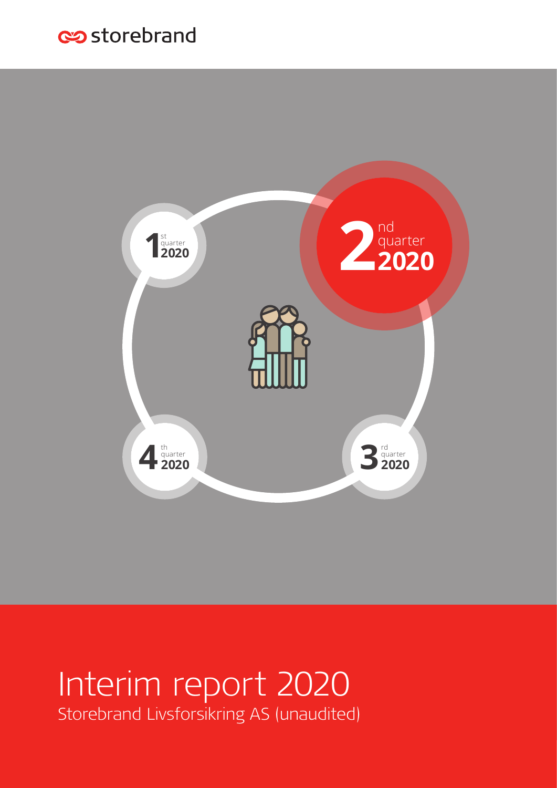# es storebrand



# Interim report 2020 Storebrand Livsforsikring AS (unaudited)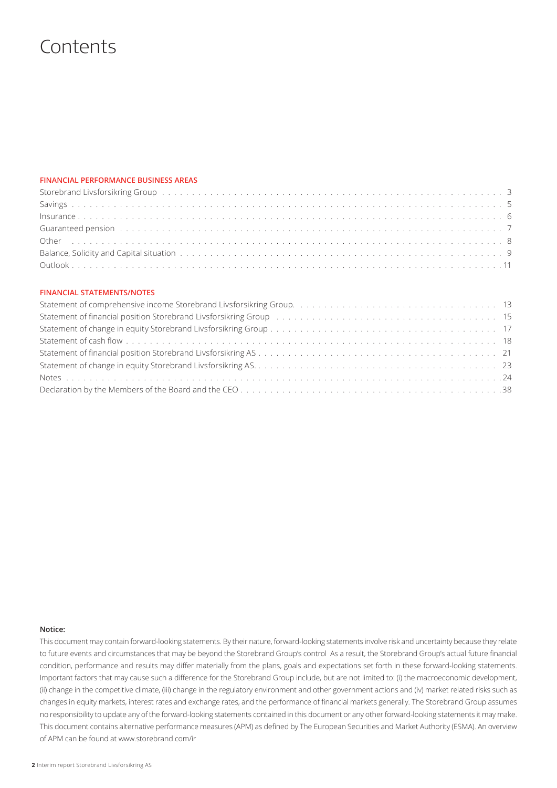# **Contents**

## **FINANCIAL PERFORMANCE BUSINESS AREAS**

| Storebrand Livsforsikring Group by the content of the content of the content of the content of the content of the content of the content of the content of the content of the content of the content of the content of the con |  |
|--------------------------------------------------------------------------------------------------------------------------------------------------------------------------------------------------------------------------------|--|
|                                                                                                                                                                                                                                |  |
|                                                                                                                                                                                                                                |  |
| Guaranteed pension (and a series of the control of the control of the control of the control of the control of the control of the control of the control of the control of the control of the control of the control of the co |  |
|                                                                                                                                                                                                                                |  |
|                                                                                                                                                                                                                                |  |
|                                                                                                                                                                                                                                |  |

## **FINANCIAL STATEMENTS/NOTES**

### **Notice:**

This document may contain forward-looking statements. By their nature, forward-looking statements involve risk and uncertainty because they relate to future events and circumstances that may be beyond the Storebrand Group's control As a result, the Storebrand Group's actual future financial condition, performance and results may differ materially from the plans, goals and expectations set forth in these forward-looking statements. Important factors that may cause such a difference for the Storebrand Group include, but are not limited to: (i) the macroeconomic development, (ii) change in the competitive climate, (iii) change in the regulatory environment and other government actions and (iv) market related risks such as changes in equity markets, interest rates and exchange rates, and the performance of financial markets generally. The Storebrand Group assumes no responsibility to update any of the forward-looking statements contained in this document or any other forward-looking statements it may make. This document contains alternative performance measures (APM) as defined by The European Securities and Market Authority (ESMA). An overview of APM can be found at www.storebrand.com/ir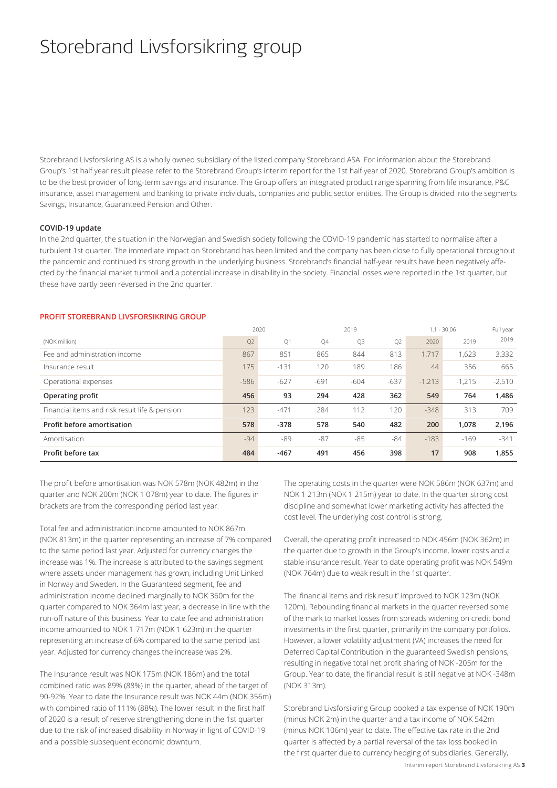# Storebrand Livsforsikring group

Storebrand Livsforsikring AS is a wholly owned subsidiary of the listed company Storebrand ASA. For information about the Storebrand Group's 1st half year result please refer to the Storebrand Group's interim report for the 1st half year of 2020. Storebrand Group's ambition is to be the best provider of long-term savings and insurance. The Group offers an integrated product range spanning from life insurance, P&C insurance, asset management and banking to private individuals, companies and public sector entities. The Group is divided into the segments Savings, Insurance, Guaranteed Pension and Other.

### **COVID-19 update**

In the 2nd quarter, the situation in the Norwegian and Swedish society following the COVID-19 pandemic has started to normalise after a turbulent 1st quarter. The immediate impact on Storebrand has been limited and the company has been close to fully operational throughout the pandemic and continued its strong growth in the underlying business. Storebrand's financial half-year results have been negatively affected by the financial market turmoil and a potential increase in disability in the society. Financial losses were reported in the 1st quarter, but these have partly been reversed in the 2nd quarter.

| PROFIT STOREBRAND LIVSFORSIKRING GROUP |
|----------------------------------------|
|----------------------------------------|

|                                                |        | 2020   | 2019   |        | $1.1 - 30.06$ | Full year |          |          |
|------------------------------------------------|--------|--------|--------|--------|---------------|-----------|----------|----------|
| (NOK million)                                  | Q2     | Q1     | Q4     | Q3     | Q2            | 2020      | 2019     | 2019     |
| Fee and administration income                  | 867    | 851    | 865    | 844    | 813           | 1.717     | 1,623    | 3,332    |
| Insurance result                               | 175    | $-131$ | 120    | 189    | 186           | 44        | 356      | 665      |
| Operational expenses                           | $-586$ | $-627$ | $-691$ | $-604$ | $-637$        | $-1,213$  | $-1.215$ | $-2,510$ |
| Operating profit                               | 456    | 93     | 294    | 428    | 362           | 549       | 764      | 1,486    |
| Financial items and risk result life & pension | 123    | $-471$ | 284    | 112    | 120           | $-348$    | 313      | 709      |
| Profit before amortisation                     | 578    | $-378$ | 578    | 540    | 482           | 200       | 1,078    | 2,196    |
| Amortisation                                   | $-94$  | -89    | $-87$  | $-85$  | $-84$         | $-183$    | $-169$   | $-341$   |
| Profit before tax                              | 484    | $-467$ | 491    | 456    | 398           | 17        | 908      | 1,855    |

The profit before amortisation was NOK 578m (NOK 482m) in the quarter and NOK 200m (NOK 1 078m) year to date. The figures in brackets are from the corresponding period last year.

Total fee and administration income amounted to NOK 867m (NOK 813m) in the quarter representing an increase of 7% compared to the same period last year. Adjusted for currency changes the increase was 1%. The increase is attributed to the savings segment where assets under management has grown, including Unit Linked in Norway and Sweden. In the Guaranteed segment, fee and administration income declined marginally to NOK 360m for the quarter compared to NOK 364m last year, a decrease in line with the run-off nature of this business. Year to date fee and administration income amounted to NOK 1 717m (NOK 1 623m) in the quarter representing an increase of 6% compared to the same period last year. Adjusted for currency changes the increase was 2%.

The Insurance result was NOK 175m (NOK 186m) and the total combined ratio was 89% (88%) in the quarter, ahead of the target of 90-92%. Year to date the Insurance result was NOK 44m (NOK 356m) with combined ratio of 111% (88%). The lower result in the first half of 2020 is a result of reserve strengthening done in the 1st quarter due to the risk of increased disability in Norway in light of COVID-19 and a possible subsequent economic downturn.

The operating costs in the quarter were NOK 586m (NOK 637m) and NOK 1 213m (NOK 1 215m) year to date. In the quarter strong cost discipline and somewhat lower marketing activity has affected the cost level. The underlying cost control is strong.

Overall, the operating profit increased to NOK 456m (NOK 362m) in the quarter due to growth in the Group's income, lower costs and a stable insurance result. Year to date operating profit was NOK 549m (NOK 764m) due to weak result in the 1st quarter.

The 'financial items and risk result' improved to NOK 123m (NOK 120m). Rebounding financial markets in the quarter reversed some of the mark to market losses from spreads widening on credit bond investments in the first quarter, primarily in the company portfolios. However, a lower volatility adjustment (VA) increases the need for Deferred Capital Contribution in the guaranteed Swedish pensions, resulting in negative total net profit sharing of NOK -205m for the Group. Year to date, the financial result is still negative at NOK -348m (NOK 313m).

Storebrand Livsforsikring Group booked a tax expense of NOK 190m (minus NOK 2m) in the quarter and a tax income of NOK 542m (minus NOK 106m) year to date. The effective tax rate in the 2nd quarter is affected by a partial reversal of the tax loss booked in the first quarter due to currency hedging of subsidiaries. Generally,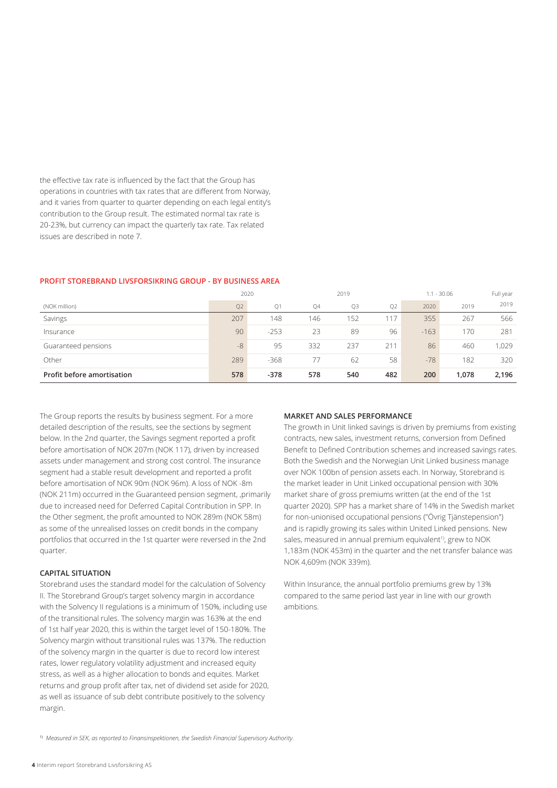the effective tax rate is influenced by the fact that the Group has operations in countries with tax rates that are different from Norway, and it varies from quarter to quarter depending on each legal entity's contribution to the Group result. The estimated normal tax rate is 20-23%, but currency can impact the quarterly tax rate. Tax related issues are described in note 7.

## **PROFIT STOREBRAND LIVSFORSIKRING GROUP - BY BUSINESS AREA**

|                            | 2020           |        |           | 2019           |     |        | $1.1 - 30.06$ |       |  |
|----------------------------|----------------|--------|-----------|----------------|-----|--------|---------------|-------|--|
| (NOK million)              | Q <sub>2</sub> | Q1     | <b>Q4</b> | Q <sub>3</sub> | Q2  | 2020   | 2019          | 2019  |  |
| Savings                    | 207            | 148    | 146       | 152            | 117 | 355    | 267           | 566   |  |
| Insurance                  | 90             | $-253$ | 23        | 89             | 96  | $-163$ | 170           | 281   |  |
| Guaranteed pensions        | $-8$           | 95     | 332       | 237            | 211 | 86     | 460           | 1,029 |  |
| Other                      | 289            | $-368$ | 77        | 62             | 58  | $-78$  | 182           | 320   |  |
| Profit before amortisation | 578            | $-378$ | 578       | 540            | 482 | 200    | 1,078         | 2,196 |  |

The Group reports the results by business segment. For a more detailed description of the results, see the sections by segment below. In the 2nd quarter, the Savings segment reported a profit before amortisation of NOK 207m (NOK 117), driven by increased assets under management and strong cost control. The insurance segment had a stable result development and reported a profit before amortisation of NOK 90m (NOK 96m). A loss of NOK -8m (NOK 211m) occurred in the Guaranteed pension segment, ,primarily due to increased need for Deferred Capital Contribution in SPP. In the Other segment, the profit amounted to NOK 289m (NOK 58m) as some of the unrealised losses on credit bonds in the company portfolios that occurred in the 1st quarter were reversed in the 2nd quarter.

## **CAPITAL SITUATION**

Storebrand uses the standard model for the calculation of Solvency II. The Storebrand Group's target solvency margin in accordance with the Solvency II regulations is a minimum of 150%, including use of the transitional rules. The solvency margin was 163% at the end of 1st half year 2020, this is within the target level of 150-180%. The Solvency margin without transitional rules was 137%. The reduction of the solvency margin in the quarter is due to record low interest rates, lower regulatory volatility adjustment and increased equity stress, as well as a higher allocation to bonds and equites. Market returns and group profit after tax, net of dividend set aside for 2020, as well as issuance of sub debt contribute positively to the solvency margin.

### **MARKET AND SALES PERFORMANCE**

The growth in Unit linked savings is driven by premiums from existing contracts, new sales, investment returns, conversion from Defined Benefit to Defined Contribution schemes and increased savings rates. Both the Swedish and the Norwegian Unit Linked business manage over NOK 100bn of pension assets each. In Norway, Storebrand is the market leader in Unit Linked occupational pension with 30% market share of gross premiums written (at the end of the 1st quarter 2020). SPP has a market share of 14% in the Swedish market for non-unionised occupational pensions ("Övrig Tjänstepension") and is rapidly growing its sales within United Linked pensions. New sales, measured in annual premium equivalent<sup>1)</sup>, grew to NOK 1,183m (NOK 453m) in the quarter and the net transfer balance was NOK 4,609m (NOK 339m).

Within Insurance, the annual portfolio premiums grew by 13% compared to the same period last year in line with our growth ambitions.

1) *Measured in SEK, as reported to Finansinspektionen, the Swedish Financial Supervisory Authority.*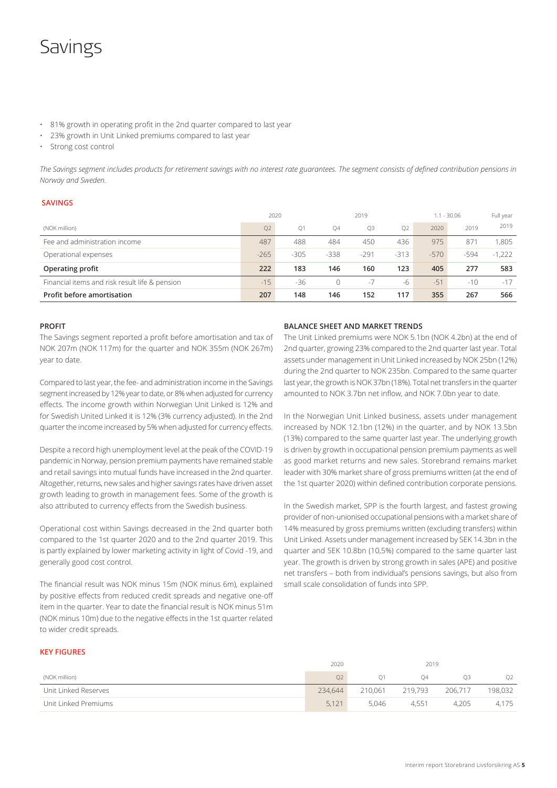# Savings

- 81% growth in operating profit in the 2nd quarter compared to last year
- 23% growth in Unit Linked premiums compared to last year
- Strong cost control

*The Savings segment includes products for retirement savings with no interest rate guarantees. The segment consists of defined contribution pensions in Norway and Sweden.* 

## **SAVINGS**

|                                                | 2020   |                |        | 2019   |        |        | $1.1 - 30.06$ | Full year |
|------------------------------------------------|--------|----------------|--------|--------|--------|--------|---------------|-----------|
| (NOK million)                                  | Q2     | O <sub>1</sub> | 04     | Q3     | O2     | 2020   | 2019          | 2019      |
| Fee and administration income                  | 487    | 488            | 484    | 450    | 436    | 975    | 871           | 1.805     |
| Operational expenses                           | $-265$ | $-305$         | $-338$ | $-291$ | $-313$ | $-570$ | $-594$        | $-1.222$  |
| Operating profit                               | 222    | 183            | 146    | 160    | 123    | 405    | 277           | 583       |
| Financial items and risk result life & pension | $-15$  | -36            |        | $-7$   | -6     | $-51$  | $-10$         | $-17$     |
| Profit before amortisation                     | 207    | 148            | 146    | 152    | 117    | 355    | 267           | 566       |

## **PROFIT**

The Savings segment reported a profit before amortisation and tax of NOK 207m (NOK 117m) for the quarter and NOK 355m (NOK 267m) year to date.

Compared to last year, the fee- and administration income in the Savings segment increased by 12% year to date, or 8% when adjusted for currency effects. The income growth within Norwegian Unit Linked is 12% and for Swedish United Linked it is 12% (3% currency adjusted). In the 2nd quarter the income increased by 5% when adjusted for currency effects.

Despite a record high unemployment level at the peak of the COVID-19 pandemic in Norway, pension premium payments have remained stable and retail savings into mutual funds have increased in the 2nd quarter. Altogether, returns, new sales and higher savings rates have driven asset growth leading to growth in management fees. Some of the growth is also attributed to currency effects from the Swedish business.

Operational cost within Savings decreased in the 2nd quarter both compared to the 1st quarter 2020 and to the 2nd quarter 2019. This is partly explained by lower marketing activity in light of Covid -19, and generally good cost control.

The financial result was NOK minus 15m (NOK minus 6m), explained by positive effects from reduced credit spreads and negative one-off item in the quarter. Year to date the financial result is NOK minus 51m (NOK minus 10m) due to the negative effects in the 1st quarter related to wider credit spreads.

## **BALANCE SHEET AND MARKET TRENDS**

The Unit Linked premiums were NOK 5.1bn (NOK 4.2bn) at the end of 2nd quarter, growing 23% compared to the 2nd quarter last year. Total assets under management in Unit Linked increased by NOK 25bn (12%) during the 2nd quarter to NOK 235bn. Compared to the same quarter last year, the growth is NOK 37bn (18%). Total net transfers in the quarter amounted to NOK 3.7bn net inflow, and NOK 7.0bn year to date.

In the Norwegian Unit Linked business, assets under management increased by NOK 12.1bn (12%) in the quarter, and by NOK 13.5bn (13%) compared to the same quarter last year. The underlying growth is driven by growth in occupational pension premium payments as well as good market returns and new sales. Storebrand remains market leader with 30% market share of gross premiums written (at the end of the 1st quarter 2020) within defined contribution corporate pensions.

In the Swedish market, SPP is the fourth largest, and fastest growing provider of non-unionised occupational pensions with a market share of 14% measured by gross premiums written (excluding transfers) within Unit Linked. Assets under management increased by SEK 14.3bn in the quarter and SEK 10.8bn (10,5%) compared to the same quarter last year. The growth is driven by strong growth in sales (APE) and positive net transfers – both from individual's pensions savings, but also from small scale consolidation of funds into SPP.

## **KEY FIGURES**

|                      | 2020    |                | 2019    |         |                |
|----------------------|---------|----------------|---------|---------|----------------|
| (NOK million)        | O2      | O <sub>1</sub> | 04      |         | Q <sub>2</sub> |
| Unit Linked Reserves | 234,644 | 210.061        | 219,793 | 206.717 | 198,032        |
| Unit Linked Premiums | 5,121   | 5.046          | 4.551   | 4.205   | 4.175          |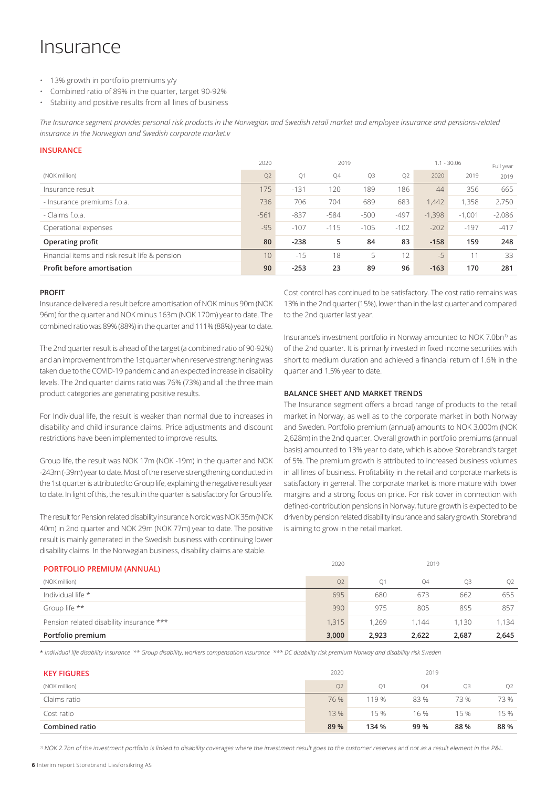# **Insurance**

- 13% growth in portfolio premiums y/y
- Combined ratio of 89% in the quarter, target 90-92%
- Stability and positive results from all lines of business

*The Insurance segment provides personal risk products in the Norwegian and Swedish retail market and employee insurance and pensions-related insurance in the Norwegian and Swedish corporate market.v* 

## **INSURANCE**

|                                                | 2020            | 2019   |        |        |                | $1.1 - 30.06$ | Full year |          |
|------------------------------------------------|-----------------|--------|--------|--------|----------------|---------------|-----------|----------|
| (NOK million)                                  | Q <sub>2</sub>  | Q1     | Q4     | Q3     | O <sub>2</sub> | 2020          | 2019      | 2019     |
| Insurance result                               | 175             | $-131$ | 120    | 189    | 186            | 44            | 356       | 665      |
| - Insurance premiums f.o.a.                    | 736             | 706    | 704    | 689    | 683            | 1.442         | .358      | 2.750    |
| - Claims f.o.a.                                | $-561$          | $-837$ | $-584$ | $-500$ | $-497$         | $-1,398$      | $-1.001$  | $-2,086$ |
| Operational expenses                           | $-95$           | $-107$ | $-115$ | $-105$ | $-102$         | $-202$        | $-197$    | $-417$   |
| Operating profit                               | 80              | $-238$ | 5      | 84     | 83             | $-158$        | 159       | 248      |
| Financial items and risk result life & pension | 10 <sup>°</sup> | $-15$  | 18     | 5      | 12             | $-5$          | 11        | 33       |
| <b>Profit before amortisation</b>              | 90              | $-253$ | 23     | 89     | 96             | $-163$        | 170       | 281      |

### **PROFIT**

Insurance delivered a result before amortisation of NOK minus 90m (NOK 96m) for the quarter and NOK minus 163m (NOK 170m) year to date. The combined ratio was 89% (88%) in the quarter and 111% (88%) year to date.

The 2nd quarter result is ahead of the target (a combined ratio of 90-92%) and an improvement from the 1st quarter when reserve strengthening was taken due to the COVID-19 pandemic and an expected increase in disability levels. The 2nd quarter claims ratio was 76% (73%) and all the three main product categories are generating positive results.

For Individual life, the result is weaker than normal due to increases in disability and child insurance claims. Price adjustments and discount restrictions have been implemented to improve results.

Group life, the result was NOK 17m (NOK -19m) in the quarter and NOK -243m (-39m) year to date. Most of the reserve strengthening conducted in the 1st quarter is attributed to Group life, explaining the negative result year to date. In light of this, the result in the quarter is satisfactory for Group life.

The result for Pension related disability insurance Nordic was NOK 35m (NOK 40m) in 2nd quarter and NOK 29m (NOK 77m) year to date. The positive result is mainly generated in the Swedish business with continuing lower disability claims. In the Norwegian business, disability claims are stable.

Cost control has continued to be satisfactory. The cost ratio remains was 13% in the 2nd quarter (15%), lower than in the last quarter and compared to the 2nd quarter last year.

Insurance's investment portfolio in Norway amounted to NOK 7.0bn<sup>1)</sup> as of the 2nd quarter. It is primarily invested in fixed income securities with short to medium duration and achieved a financial return of 1.6% in the quarter and 1.5% year to date.

### **BALANCE SHEET AND MARKET TRENDS**

The Insurance segment offers a broad range of products to the retail market in Norway, as well as to the corporate market in both Norway and Sweden. Portfolio premium (annual) amounts to NOK 3,000m (NOK 2,628m) in the 2nd quarter. Overall growth in portfolio premiums (annual basis) amounted to 13% year to date, which is above Storebrand's target of 5%. The premium growth is attributed to increased business volumes in all lines of business. Profitability in the retail and corporate markets is satisfactory in general. The corporate market is more mature with lower margins and a strong focus on price. For risk cover in connection with defined-contribution pensions in Norway, future growth is expected to be driven by pension related disability insurance and salary growth. Storebrand is aiming to grow in the retail market.

|                                   | ZUZU | 2019 |
|-----------------------------------|------|------|
| <b>PORTFOLIO PREMIUM (ANNUAL)</b> |      |      |

| Portfolio premium                        | 3,000          | 2,923          | 2.622     | 2,687 | 2,645          |
|------------------------------------------|----------------|----------------|-----------|-------|----------------|
| Pension related disability insurance *** | 1,315          | 1.269          | 1.144     | 1.130 | 1.134          |
| Group life **                            | 990            | 975            | 805       | 895   | 857            |
| Individual life *                        | 695            | 680            | 673       | 662   | 655            |
| (NOK million)                            | Q <sub>2</sub> | O <sub>1</sub> | <b>Q4</b> | О3    | O <sub>2</sub> |
|                                          |                |                |           |       |                |

\* *Individual life disability insurance \*\* Group disability, workers compensation insurance \*\*\* DC disability risk premium Norway and disability risk Sweden*

| <b>KEY FIGURES</b>    | 2020 |                | 2019 |      |                |  |
|-----------------------|------|----------------|------|------|----------------|--|
| (NOK million)         | Q2   | O <sub>1</sub> | Q4   | O3   | O <sub>2</sub> |  |
| Claims ratio          | 76 % | 119 %          | 83 % | 73 % | 73 %           |  |
| Cost ratio            | 13 % | 15 %           | 16 % | 15 % | 15 %           |  |
| <b>Combined ratio</b> | 89 % | 134 %          | 99 % | 88%  | 88%            |  |

<sup>1)</sup> NOK 2.7bn of the investment portfolio is linked to disability coverages where the investment result goes to the customer reserves and not as a result element in the P&L.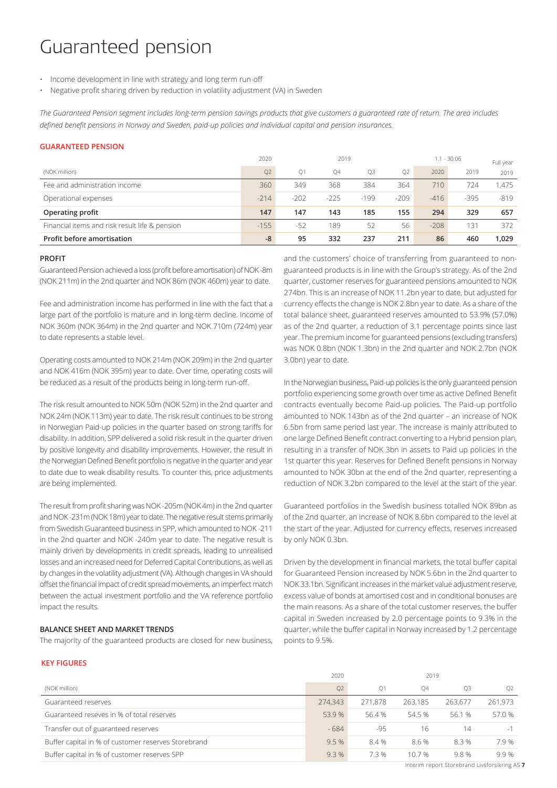# Guaranteed pension

- Income development in line with strategy and long term run-off
- Negative profit sharing driven by reduction in volatility adjustment (VA) in Sweden

*The Guaranteed Pension segment includes long-term pension savings products that give customers a guaranteed rate of return. The area includes defined benefit pensions in Norway and Sweden, paid-up policies and individual capital and pension insurances.*

### **GUARANTEED PENSION**

|                                                | 2020           | 2019           |        |                |                | $1.1 - 30.06$ | Full year |        |
|------------------------------------------------|----------------|----------------|--------|----------------|----------------|---------------|-----------|--------|
| (NOK million)                                  | Q <sub>2</sub> | O <sub>1</sub> | Q4     | O <sub>3</sub> | O <sub>2</sub> | 2020          | 2019      | 2019   |
| Fee and administration income                  | 360            | 349            | 368    | 384            | 364            | 710           | 724       | 1.475  |
| Operational expenses                           | $-214$         | $-202$         | $-225$ | $-199$         | $-209$         | $-416$        | $-395$    | $-819$ |
| Operating profit                               | 147            | 147            | 143    | 185            | 155            | 294           | 329       | 657    |
| Financial items and risk result life & pension | $-155$         | $-52$          | 189    | 52             | 56             | $-208$        | 131       | 372    |
| Profit before amortisation                     | -8             | 95             | 332    | 237            | 211            | 86            | 460       | 1.029  |

#### **PROFIT**

Guaranteed Pension achieved a loss (profit before amortisation) of NOK -8m (NOK 211m) in the 2nd quarter and NOK 86m (NOK 460m) year to date.

Fee and administration income has performed in line with the fact that a large part of the portfolio is mature and in long-term decline. Income of NOK 360m (NOK 364m) in the 2nd quarter and NOK 710m (724m) year to date represents a stable level.

Operating costs amounted to NOK 214m (NOK 209m) in the 2nd quarter and NOK 416m (NOK 395m) year to date. Over time, operating costs will be reduced as a result of the products being in long-term run-off.

The risk result amounted to NOK 50m (NOK 52m) in the 2nd quarter and NOK 24m (NOK 113m) year to date. The risk result continues to be strong in Norwegian Paid-up policies in the quarter based on strong tariffs for disability. In addition, SPP delivered a solid risk result in the quarter driven by positive longevity and disability improvements. However, the result in the Norwegian Defined Benefit portfolio is negative in the quarter and year to date due to weak disability results. To counter this, price adjustments are being implemented.

The result from profit sharing was NOK -205m (NOK 4m) in the 2nd quarter and NOK -231m (NOK 18m) year to date. The negative result stems primarily from Swedish Guaranteed business in SPP, which amounted to NOK -211 in the 2nd quarter and NOK -240m year to date. The negative result is mainly driven by developments in credit spreads, leading to unrealised losses and an increased need for Deferred Capital Contributions, as well as by changes in the volatility adjustment (VA). Although changes in VA should offset the financial impact of credit spread movements, an imperfect match between the actual investment portfolio and the VA reference portfolio impact the results.

## **BALANCE SHEET AND MARKET TRENDS**

The majority of the guaranteed products are closed for new business,

and the customers' choice of transferring from guaranteed to nonguaranteed products is in line with the Group's strategy. As of the 2nd quarter, customer reserves for guaranteed pensions amounted to NOK 274bn. This is an increase of NOK 11.2bn year to date, but adjusted for currency effects the change is NOK 2.8bn year to date. As a share of the total balance sheet, guaranteed reserves amounted to 53.9% (57.0%) as of the 2nd quarter, a reduction of 3.1 percentage points since last year. The premium income for guaranteed pensions (excluding transfers) was NOK 0.8bn (NOK 1.3bn) in the 2nd quarter and NOK 2.7bn (NOK 3.0bn) year to date.

In the Norwegian business, Paid-up policies is the only guaranteed pension portfolio experiencing some growth over time as active Defined Benefit contracts eventually become Paid-up policies. The Paid-up portfolio amounted to NOK 143bn as of the 2nd quarter – an increase of NOK 6.5bn from same period last year. The increase is mainly attributed to one large Defined Benefit contract converting to a Hybrid pension plan, resulting in a transfer of NOK 3bn in assets to Paid up policies in the 1st quarter this year. Reserves for Defined Benefit pensions in Norway amounted to NOK 30bn at the end of the 2nd quarter, representing a reduction of NOK 3.2bn compared to the level at the start of the year.

Guaranteed portfolios in the Swedish business totalled NOK 89bn as of the 2nd quarter, an increase of NOK 8.6bn compared to the level at the start of the year. Adjusted for currency effects, reserves increased by only NOK 0.3bn.

Driven by the development in financial markets, the total buffer capital for Guaranteed Pension increased by NOK 5.6bn in the 2nd quarter to NOK 33.1bn. Significant increases in the market value adjustment reserve, excess value of bonds at amortised cost and in conditional bonuses are the main reasons. As a share of the total customer reserves, the buffer capital in Sweden increased by 2.0 percentage points to 9.3% in the quarter, while the buffer capital in Norway increased by 1.2 percentage points to 9.5%.

### **KEY FIGURES**

|                                                     | 2020           |                |         |         |                |
|-----------------------------------------------------|----------------|----------------|---------|---------|----------------|
| (NOK million)                                       | O <sub>2</sub> | O <sub>1</sub> | O4      | O3      | O <sub>2</sub> |
| Guaranteed reserves                                 | 274,343        | 271.878        | 263,185 | 263.677 | 261,973        |
| Guaranteed reseves in % of total reserves           | 53.9%          | 56.4 %         | 54.5 %  | 56.1 %  | 57.0 %         |
| Transfer out of guaranteed reserves                 | $-684$         | $-95$          | 16      | 14      |                |
| Buffer capital in % of customer reserves Storebrand | 9.5%           | 8.4 %          | 8.6%    | 8.3%    | 7.9%           |
| Buffer capital in % of customer reserves SPP        | 9.3%           | 7.3 %          | 10.7 %  | 9.8%    | 9.9%           |

Interim report Storebrand Livsforsikring AS **7**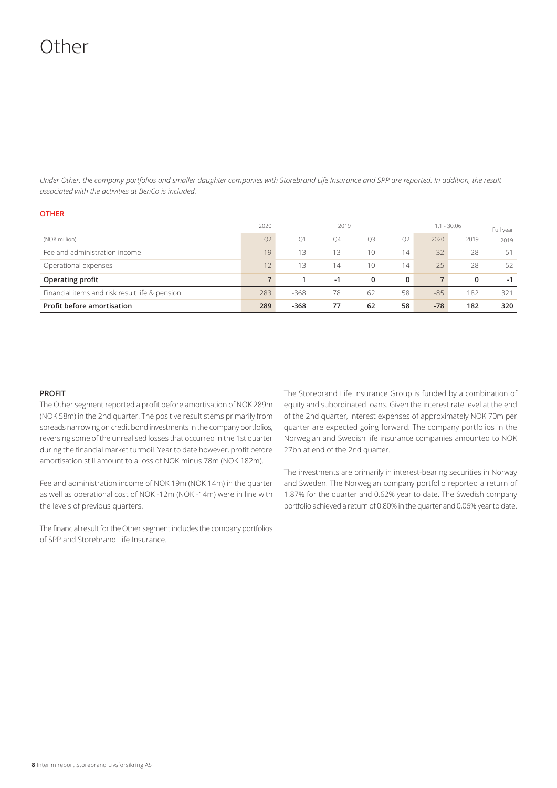# Other

*Under Other, the company portfolios and smaller daughter companies with Storebrand Life Insurance and SPP are reported. In addition, the result associated with the activities at BenCo is included.*

|                                                | 2020        |                | 2019      |       |                |       | $1.1 - 30.06$ | Full year |
|------------------------------------------------|-------------|----------------|-----------|-------|----------------|-------|---------------|-----------|
| (NOK million)                                  | Q2          | O <sub>1</sub> | <b>Q4</b> | O3    | O <sub>2</sub> | 2020  | 2019          | 2019      |
| Fee and administration income                  | 19          | 13             | 13        | 10    | 14             | 32    | 28            | 51        |
| Operational expenses                           | $-12$       | $-13$          | $-14$     | $-10$ | $-14$          | $-25$ | $-28$         | $-52$     |
| Operating profit                               | $7^{\circ}$ |                | $-1$      | 0     | $\mathbf{0}$   |       | 0             | $-1$      |
| Financial items and risk result life & pension | 283         | $-368$         | 78        | 62    | 58             | $-85$ | 182           | 321       |
| Profit before amortisation                     | 289         | $-368$         | 77        | 62    | 58             | $-78$ | 182           | 320       |

### **PROFIT**

**OTHER**

The Other segment reported a profit before amortisation of NOK 289m (NOK 58m) in the 2nd quarter. The positive result stems primarily from spreads narrowing on credit bond investments in the company portfolios, reversing some of the unrealised losses that occurred in the 1st quarter during the financial market turmoil. Year to date however, profit before amortisation still amount to a loss of NOK minus 78m (NOK 182m).

Fee and administration income of NOK 19m (NOK 14m) in the quarter as well as operational cost of NOK -12m (NOK -14m) were in line with the levels of previous quarters.

The financial result for the Other segment includes the company portfolios of SPP and Storebrand Life Insurance.

The Storebrand Life Insurance Group is funded by a combination of equity and subordinated loans. Given the interest rate level at the end of the 2nd quarter, interest expenses of approximately NOK 70m per quarter are expected going forward. The company portfolios in the Norwegian and Swedish life insurance companies amounted to NOK 27bn at end of the 2nd quarter.

The investments are primarily in interest-bearing securities in Norway and Sweden. The Norwegian company portfolio reported a return of 1.87% for the quarter and 0.62% year to date. The Swedish company portfolio achieved a return of 0.80% in the quarter and 0,06% year to date.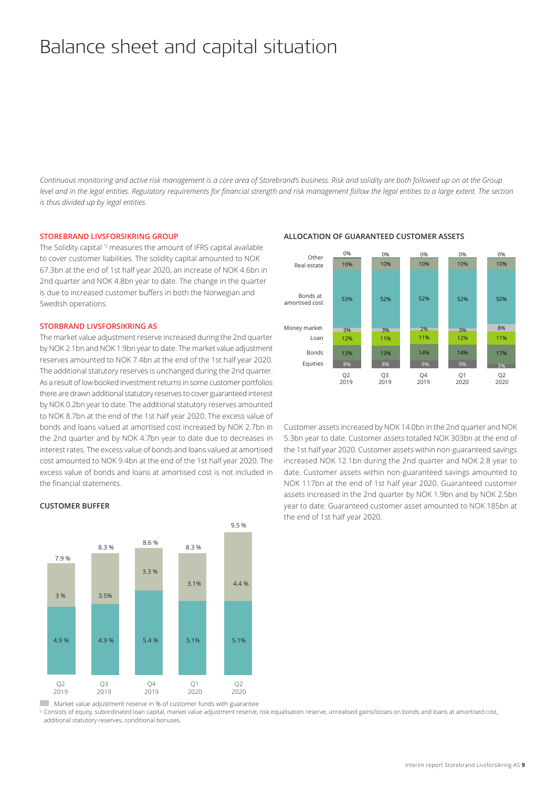# Balance sheet and capital situation

*Continuous monitoring and active risk management is a core area of Storebrand's business. Risk and solidity are both followed up on at the Group level and in the legal entities. Regulatory requirements for financial strength and risk management follow the legal entities to a large extent. The section is thus divided up by legal entities.* 

#### **STOREBRAND LIVSFORSIKRING GROUP**

The Solidity capital <sup>1)</sup> measures the amount of IFRS capital available to cover customer liabilities. The solidity capital amounted to NOK 67.3bn at the end of 1st half year 2020, an increase of NOK 4.6bn in 2nd quarter and NOK 4.8bn year to date. The change in the quarter is due to increased customer buffers in both the Norwegian and Swedish operations.

## **STORBRAND LIVSFORSIKRING AS**

The market value adjustment reserve increased during the 2nd quarter by NOK 2.1bn and NOK 1.9bn year to date. The market value adjustment reserves amounted to NOK 7.4bn at the end of the 1st half year 2020. The additional statutory reserves is unchanged during the 2nd quarter. As a result of low booked investment returns in some customer portfolios there are drawn additional statutory reserves to cover guaranteed interest by NOK 0.2bn year to date. The additional statutory reserves amounted to NOK 8.7bn at the end of the 1st half year 2020. The excess value of bonds and loans valued at amortised cost increased by NOK 2.7bn in the 2nd quarter and by NOK 4.7bn year to date due to decreases in interest rates. The excess value of bonds and loans valued at amortised cost amounted to NOK 9.4bn at the end of the 1st half year 2020. The excess value of bonds and loans at amortised cost is not included in the financial statements.



### **ALLOCATION OF GUARANTEED CUSTOMER ASSETS**

Customer assets increased by NOK 14.0bn in the 2nd quarter and NOK 5.3bn year to date. Customer assets totalled NOK 303bn at the end of the 1st half year 2020. Customer assets within non-guaranteed savings increased NOK 12.1bn during the 2nd quarter and NOK 2.8 year to date. Customer assets within non-guaranteed savings amounted to NOK 117bn at the end of 1st half year 2020. Guaranteed customer assets increased in the 2nd quarter by NOK 1.9bn and by NOK 2.5bn year to date. Guaranteed customer asset amounted to NOK 185bn at the end of 1st half year 2020.



#### **CUSTOMER BUFFER**

Market value adjustment reserve in % of customer funds with guarantee

Additional reserves in % of customer funds with guarantee additional statutory reserves, conditional bonuses.<sup>1)</sup> Consists of equity, subordinated loan capital, market value adjustment reserve, risk equalisation reserve, unrealised gains/losses on bonds and loans at amortised cost,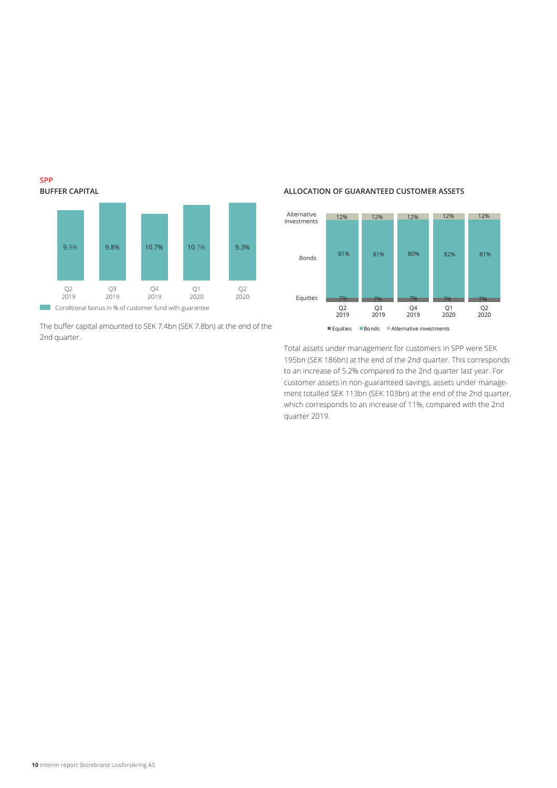

The buffer capital amounted to SEK 7.4bn (SEK 7.8bn) at the end of the 2nd quarter.

# **ALLOCATION OF GUARANTEED CUSTOMER ASSETS**



Total assets under management for customers in SPP were SEK 195bn (SEK 186bn) at the end of the 2nd quarter. This corresponds to an increase of 5.2% compared to the 2nd quarter last year. For customer assets in non-guaranteed savings, assets under management totalled SEK 113bn (SEK 103bn) at the end of the 2nd quarter, which corresponds to an increase of 11%, compared with the 2nd quarter 2019.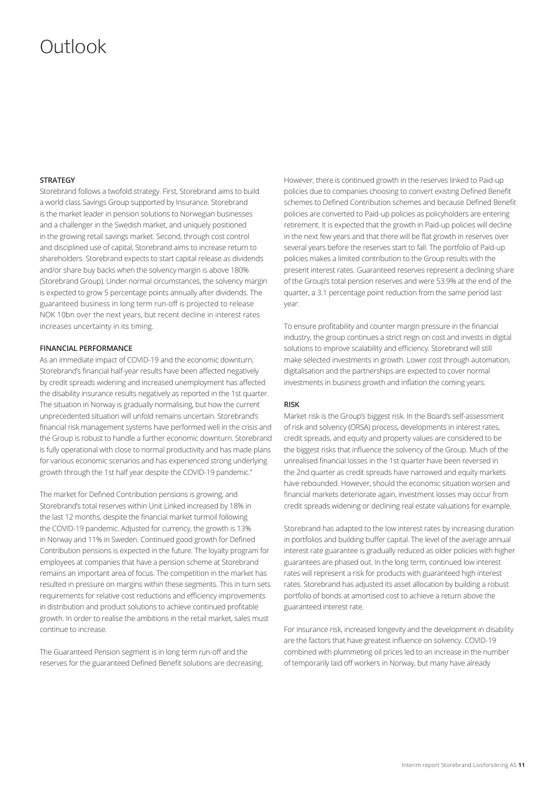# Outlook

## **STRATEGY**

Storebrand follows a twofold strategy. First, Storebrand aims to build a world class Savings Group supported by Insurance. Storebrand is the market leader in pension solutions to Norwegian businesses and a challenger in the Swedish market, and uniquely positioned in the growing retail savings market. Second, through cost control and disciplined use of capital, Storebrand aims to increase return to shareholders. Storebrand expects to start capital release as dividends and/or share buy backs when the solvency margin is above 180% (Storebrand Group). Under normal circumstances, the solvency margin is expected to grow 5 percentage points annually after dividends. The guaranteed business in long term run-off is projected to release NOK 10bn over the next years, but recent decline in interest rates increases uncertainty in its timing.

### **FINANCIAL PERFORMANCE**

As an immediate impact of COVID-19 and the economic downturn, Storebrand's financial half-year results have been affected negatively by credit spreads widening and increased unemployment has affected the disability insurance results negatively as reported in the 1st quarter. The situation in Norway is gradually normalising, but how the current unprecedented situation will unfold remains uncertain. Storebrand's financial risk management systems have performed well in the crisis and the Group is robust to handle a further economic downturn. Storebrand is fully operational with close to normal productivity and has made plans for various economic scenarios and has experienced strong underlying growth through the 1st half year despite the COVID-19 pandemic."

The market for Defined Contribution pensions is growing, and Storebrand's total reserves within Unit Linked increased by 18% in the last 12 months, despite the financial market turmoil following the COVID-19 pandemic. Adjusted for currency, the growth is 13% in Norway and 11% in Sweden. Continued good growth for Defined Contribution pensions is expected in the future. The loyalty program for employees at companies that have a pension scheme at Storebrand remains an important area of focus. The competition in the market has resulted in pressure on margins within these segments. This in turn sets requirements for relative cost reductions and efficiency improvements in distribution and product solutions to achieve continued profitable growth. In order to realise the ambitions in the retail market, sales must continue to increase.

The Guaranteed Pension segment is in long term run-off and the reserves for the guaranteed Defined Benefit solutions are decreasing.

However, there is continued growth in the reserves linked to Paid-up policies due to companies choosing to convert existing Defined Benefit schemes to Defined Contribution schemes and because Defined Benefit policies are converted to Paid-up policies as policyholders are entering retirement. It is expected that the growth in Paid-up policies will decline in the next few years and that there will be flat growth in reserves over several years before the reserves start to fall. The portfolio of Paid-up policies makes a limited contribution to the Group results with the present interest rates. Guaranteed reserves represent a declining share of the Group's total pension reserves and were 53.9% at the end of the quarter, a 3.1 percentage point reduction from the same period last year.

To ensure profitability and counter margin pressure in the financial industry, the group continues a strict reign on cost and invests in digital solutions to improve scalability and efficiency. Storebrand will still make selected investments in growth. Lower cost through automation, digitalisation and the partnerships are expected to cover normal investments in business growth and inflation the coming years.

#### **RISK**

Market risk is the Group's biggest risk. In the Board's self-assessment of risk and solvency (ORSA) process, developments in interest rates, credit spreads, and equity and property values are considered to be the biggest risks that influence the solvency of the Group. Much of the unrealised financial losses in the 1st quarter have been reversed in the 2nd quarter as credit spreads have narrowed and equity markets have rebounded. However, should the economic situation worsen and financial markets deteriorate again, investment losses may occur from credit spreads widening or declining real estate valuations for example.

Storebrand has adapted to the low interest rates by increasing duration in portfolios and building buffer capital. The level of the average annual interest rate guarantee is gradually reduced as older policies with higher guarantees are phased out. In the long term, continued low interest rates will represent a risk for products with guaranteed high interest rates. Storebrand has adjusted its asset allocation by building a robust portfolio of bonds at amortised cost to achieve a return above the guaranteed interest rate.

For insurance risk, increased longevity and the development in disability are the factors that have greatest influence on solvency. COVID-19 combined with plummeting oil prices led to an increase in the number of temporarily laid off workers in Norway, but many have already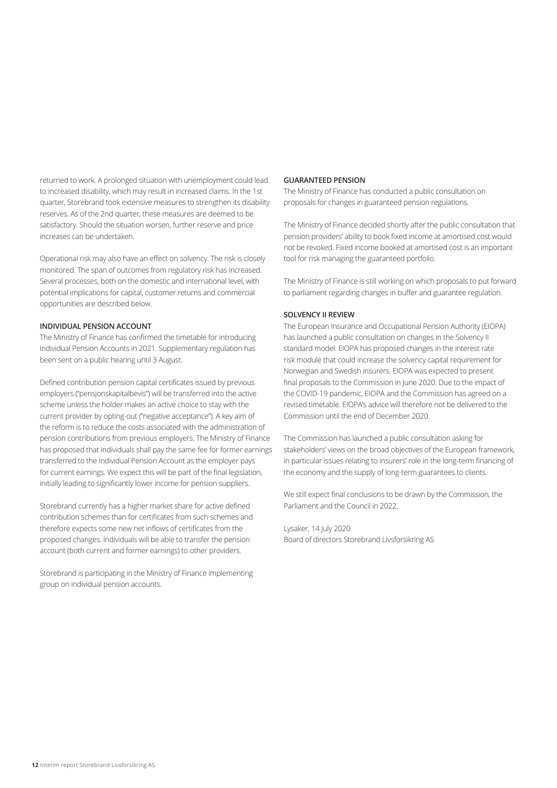returned to work. A prolonged situation with unemployment could lead to increased disability, which may result in increased claims. In the 1st quarter, Storebrand took extensive measures to strengthen its disability reserves. As of the 2nd quarter, these measures are deemed to be satisfactory. Should the situation worsen, further reserve and price increases can be undertaken.

Operational risk may also have an effect on solvency. The risk is closely monitored. The span of outcomes from regulatory risk has increased. Several processes, both on the domestic and international level, with potential implications for capital, customer returns and commercial opportunities are described below.

## **INDIVIDUAL PENSION ACCOUNT**

The Ministry of Finance has confirmed the timetable for introducing Individual Pension Accounts in 2021. Supplementary regulation has been sent on a public hearing until 3 August.

Defined contribution pension capital certificates issued by previous employers ("pensjonskapitalbevis") will be transferred into the active scheme unless the holder makes an active choice to stay with the current provider by opting-out ("negative acceptance"). A key aim of the reform is to reduce the costs associated with the administration of pension contributions from previous employers. The Ministry of Finance has proposed that individuals shall pay the same fee for former earnings transferred to the Individual Pension Account as the employer pays for current earnings. We expect this will be part of the final legislation, initially leading to significantly lower income for pension suppliers.

Storebrand currently has a higher market share for active defined contribution schemes than for certificates from such schemes and therefore expects some new net inflows of certificates from the proposed changes. Individuals will be able to transfer the pension account (both current and former earnings) to other providers.

Storebrand is participating in the Ministry of Finance implementing group on individual pension accounts.

## **GUARANTEED PENSION**

The Ministry of Finance has conducted a public consultation on proposals for changes in guaranteed pension regulations.

The Ministry of Finance decided shortly after the public consultation that pension providers' ability to book fixed income at amortised cost would not be revoked. Fixed income booked at amortised cost is an important tool for risk managing the guaranteed portfolio.

The Ministry of Finance is still working on which proposals to put forward to parliament regarding changes in buffer and guarantee regulation.

### **SOLVENCY II REVIEW**

The European Insurance and Occupational Pension Authority (EIOPA) has launched a public consultation on changes in the Solvency II standard model. EIOPA has proposed changes in the interest rate risk module that could increase the solvency capital requirement for Norwegian and Swedish insurers. EIOPA was expected to present final proposals to the Commission in June 2020. Due to the impact of the COVID-19 pandemic, EIOPA and the Commission has agreed on a revised timetable. EIOPA's advice will therefore not be delivered to the Commission until the end of December 2020.

The Commission has launched a public consultation asking for stakeholders' views on the broad objectives of the European framework, in particular issues relating to insurers' role in the long-term financing of the economy and the supply of long-term guarantees to clients.

We still expect final conclusions to be drawn by the Commission, the Parliament and the Council in 2022.

# Lysaker, 14 July 2020

Board of directors Storebrand Livsforsikring AS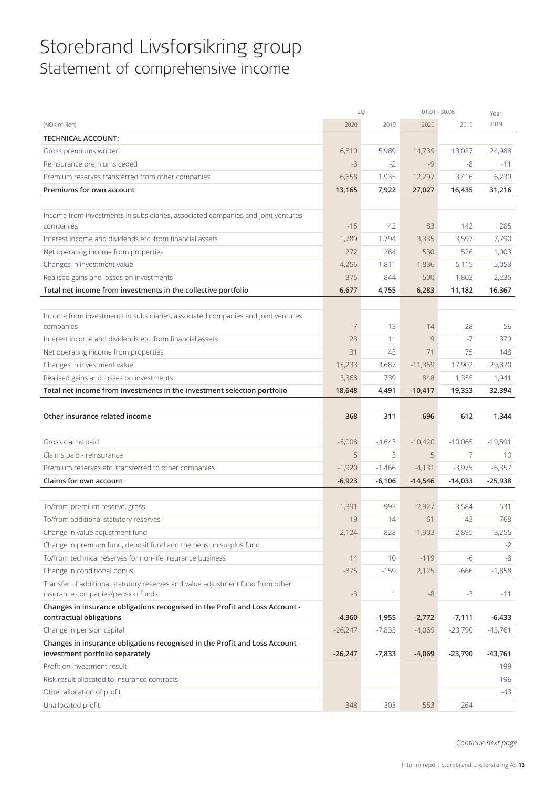# Storebrand Livsforsikring group Statement of comprehensive income

|                                                                                  | 2Q        |              | $01.01 - 30.06$ |           | Year      |
|----------------------------------------------------------------------------------|-----------|--------------|-----------------|-----------|-----------|
| (NOK million)                                                                    | 2020      | 2019         | 2020            | 2019      | 2019      |
| <b>TECHNICAL ACCOUNT:</b>                                                        |           |              |                 |           |           |
| Gross premiums written                                                           | 6,510     | 5,989        | 14,739          | 13,027    | 24,988    |
| Reinsurance premiums ceded                                                       | $-3$      | $-2$         | $-9$            | -8        | $-11$     |
| Premium reserves transferred from other companies                                | 6,658     | 1,935        | 12,297          | 3,416     | 6,239     |
| Premiums for own account                                                         | 13,165    | 7,922        | 27,027          | 16,435    | 31,216    |
|                                                                                  |           |              |                 |           |           |
| Income from investments in subsidiaries, associated companies and joint ventures |           |              |                 |           |           |
| companies                                                                        | $-15$     | 42           | 83              | 142       | 285       |
| Interest income and dividends etc. from financial assets                         | 1,789     | 1,794        | 3,335           | 3,597     | 7,790     |
| Net operating income from properties                                             | 272       | 264          | 530             | 526       | 1,003     |
| Changes in investment value                                                      | 4,256     | 1,811        | 1,836           | 5,115     | 5,053     |
| Realised gains and losses on investments                                         | 375       | 844          | 500             | 1,803     | 2,235     |
| Total net income from investments in the collective portfolio                    | 6,677     | 4,755        | 6,283           | 11,182    | 16,367    |
|                                                                                  |           |              |                 |           |           |
| Income from investments in subsidiaries, associated companies and joint ventures |           |              |                 |           |           |
| companies                                                                        | $-7$      | 13           | 14              | 28        | 56        |
| Interest income and dividends etc. from financial assets                         | 23        | 11           | 9               | $-7$      | 379       |
| Net operating income from properties                                             | 31        | 43           | 71              | 75        | 148       |
| Changes in investment value                                                      | 15,233    | 3,687        | $-11,359$       | 17,902    | 29,870    |
| Realised gains and losses on investments                                         | 3,368     | 739          | 848             | 1,355     | 1,941     |
| Total net income from investments in the investment selection portfolio          | 18,648    | 4,491        | $-10,417$       | 19,353    | 32,394    |
|                                                                                  |           |              |                 |           |           |
|                                                                                  |           |              |                 |           |           |
| Other insurance related income                                                   | 368       | 311          | 696             | 612       | 1,344     |
|                                                                                  |           |              |                 |           |           |
| Gross claims paid                                                                | $-5,008$  | $-4,643$     | $-10,420$       | $-10,065$ | $-19,591$ |
| Claims paid - reinsurance                                                        | 5         | 3            | 5               | 7         | 10        |
| Premium reserves etc. transferred to other companies                             | $-1,920$  | $-1,466$     | $-4,131$        | $-3,975$  | $-6,357$  |
| Claims for own account                                                           | $-6,923$  | $-6,106$     | $-14,546$       | $-14,033$ | $-25,938$ |
|                                                                                  |           |              |                 |           |           |
| To/from premium reserve, gross                                                   | $-1,391$  | $-993$       | $-2.927$        | $-3,584$  | $-531$    |
| To/from additional statutory reserves                                            | 19        | 14           | 61              | 43        | $-768$    |
| Change in value adjustment fund                                                  | $-2,124$  | $-828$       | $-1,903$        | $-2,895$  | $-3,255$  |
| Change in premium fund, deposit fund and the pension surplus fund                |           |              |                 |           | -2        |
| To/from technical reserves for non-life insurance business                       | 14        | 10           | $-119$          | -6        | -8        |
| Change in conditional bonus                                                      | $-875$    | $-159$       | 2,125           | $-666$    | $-1,858$  |
| Transfer of additional statutory reserves and value adjustment fund from other   |           |              |                 |           |           |
| insurance companies/pension funds                                                | $-3$      | $\mathbf{1}$ | $-8$            | $-3$      | $-11$     |
| Changes in insurance obligations recognised in the Profit and Loss Account -     |           |              |                 |           |           |
| contractual obligations                                                          | $-4,360$  | $-1,955$     | $-2,772$        | $-7,111$  | $-6,433$  |
| Change in pension capital                                                        | $-26,247$ | $-7,833$     | $-4,069$        | $-23,790$ | $-43,761$ |
| Changes in insurance obligations recognised in the Profit and Loss Account -     |           |              |                 |           |           |
| investment portfolio separately                                                  | $-26,247$ | $-7,833$     | $-4,069$        | $-23,790$ | -43,761   |
| Profit on investment result                                                      |           |              |                 |           | -199      |
| Risk result allocated to insurance contracts                                     |           |              |                 |           | $-196$    |
| Other allocation of profit<br>Unallocated profit                                 | $-348$    | $-303$       | $-553$          | $-264$    | -43       |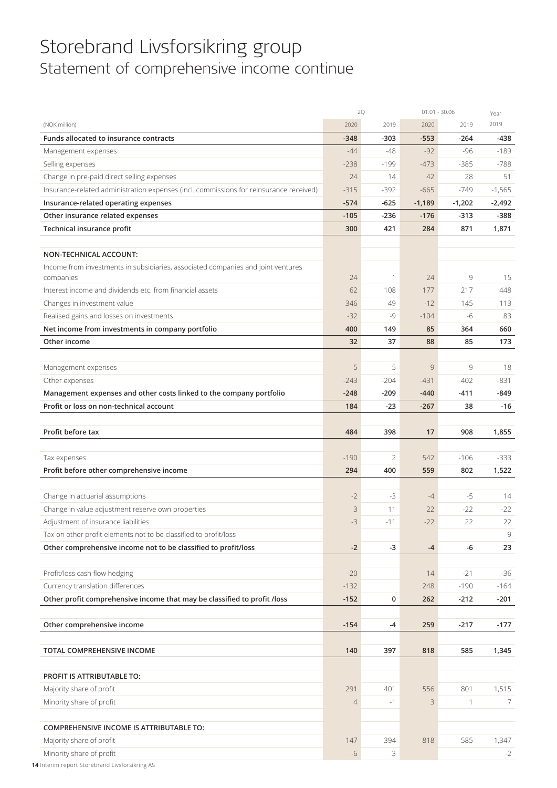# Storebrand Livsforsikring group Statement of comprehensive income continue

|                                                                                        |                | 2Q     | $01.01 - 30.06$ |              | Year     |
|----------------------------------------------------------------------------------------|----------------|--------|-----------------|--------------|----------|
| (NOK million)                                                                          | 2020           | 2019   | 2020            | 2019         | 2019     |
| Funds allocated to insurance contracts                                                 | $-348$         | $-303$ | $-553$          | $-264$       | $-438$   |
| Management expenses                                                                    | $-44$          | $-48$  | $-92$           | $-96$        | $-189$   |
| Selling expenses                                                                       | $-238$         | $-199$ | $-473$          | $-385$       | $-788$   |
| Change in pre-paid direct selling expenses                                             | 24             | 14     | 42              | 28           | 51       |
| Insurance-related administration expenses (incl. commissions for reinsurance received) | $-315$         | $-392$ | $-665$          | $-749$       | $-1,565$ |
| Insurance-related operating expenses                                                   | $-574$         | $-625$ | $-1,189$        | $-1,202$     | $-2,492$ |
| Other insurance related expenses                                                       | $-105$         | -236   | $-176$          | $-313$       | -388     |
| Technical insurance profit                                                             | 300            | 421    | 284             | 871          | 1,871    |
|                                                                                        |                |        |                 |              |          |
| NON-TECHNICAL ACCOUNT:                                                                 |                |        |                 |              |          |
| Income from investments in subsidiaries, associated companies and joint ventures       |                |        |                 |              |          |
| companies                                                                              | 24             | 1      | 24              | 9            | 15       |
| Interest income and dividends etc. from financial assets                               | 62             | 108    | 177             | 217          | 448      |
| Changes in investment value                                                            | 346            | 49     | $-12$           | 145          | 113      |
| Realised gains and losses on investments                                               | $-32$          | -9     | $-104$          | -6           | 83       |
| Net income from investments in company portfolio                                       | 400            | 149    | 85              | 364          | 660      |
| Other income                                                                           | 32             | 37     | 88              | 85           | 173      |
|                                                                                        |                |        |                 |              |          |
| Management expenses                                                                    | $-5$           | -5     | $-9$            | $-9$         | $-18$    |
| Other expenses                                                                         | $-243$         | $-204$ | $-431$          | $-402$       | $-831$   |
| Management expenses and other costs linked to the company portfolio                    | $-248$         | $-209$ | $-440$          | $-411$       | $-849$   |
| Profit or loss on non-technical account                                                | 184            | $-23$  | $-267$          | 38           | $-16$    |
|                                                                                        |                |        |                 |              |          |
| Profit before tax                                                                      | 484            | 398    | 17              | 908          | 1,855    |
|                                                                                        |                |        |                 |              |          |
| Tax expenses                                                                           | $-190$         | 2      | 542             | $-106$       | $-333$   |
| Profit before other comprehensive income                                               | 294            | 400    | 559             | 802          | 1,522    |
| Change in actuarial assumptions                                                        | $-2$           | $-3$   | $-4$            | $-5$         | 14       |
| Change in value adjustment reserve own properties                                      | 3              | 11     | 22              | $-22$        | $-22$    |
| Adjustment of insurance liabilities                                                    | $-3$           | $-11$  | $-22$           | 22           | 22       |
| Tax on other profit elements not to be classified to profit/loss                       |                |        |                 |              | 9        |
| Other comprehensive income not to be classified to profit/loss                         | $-2$           | $-3$   | $-4$            | -6           | 23       |
|                                                                                        |                |        |                 |              |          |
| Profit/loss cash flow hedging                                                          | $-20$          |        | 14              | $-21$        | $-36$    |
| Currency translation differences                                                       | $-132$         |        | 248             | $-190$       | $-164$   |
| Other profit comprehensive income that may be classified to profit /loss               | $-152$         | 0      | 262             | $-212$       | $-201$   |
|                                                                                        |                |        |                 |              |          |
| Other comprehensive income                                                             | $-154$         | $-4$   | 259             | $-217$       | $-177$   |
|                                                                                        |                |        |                 |              |          |
| TOTAL COMPREHENSIVE INCOME                                                             | 140            | 397    | 818             | 585          | 1,345    |
|                                                                                        |                |        |                 |              |          |
| <b>PROFIT IS ATTRIBUTABLE TO:</b>                                                      |                |        |                 |              |          |
| Majority share of profit                                                               | 291            | 401    | 556             | 801          | 1,515    |
| Minority share of profit                                                               | $\overline{4}$ | $-1$   | 3               | $\mathbf{1}$ | 7        |
|                                                                                        |                |        |                 |              |          |
| <b>COMPREHENSIVE INCOME IS ATTRIBUTABLE TO:</b>                                        |                |        |                 |              |          |
| Majority share of profit                                                               | 147            | 394    | 818             | 585          | 1,347    |
| Minority share of profit                                                               | $-6$           | 3      |                 |              | $-2$     |
|                                                                                        |                |        |                 |              |          |

**14** Interim report Storebrand Livsforsikring AS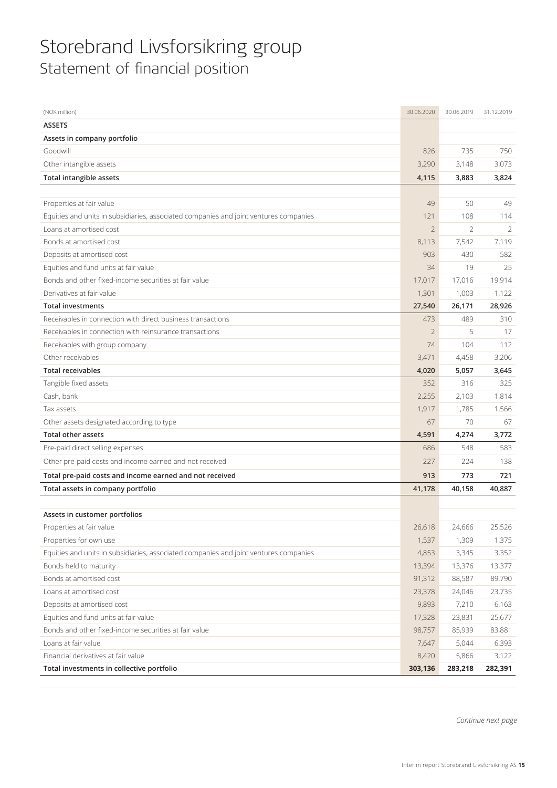# Storebrand Livsforsikring group Statement of financial position

| (NOK million)                                                                         | 30.06.2020     | 30.06.2019 | 31.12.2019 |
|---------------------------------------------------------------------------------------|----------------|------------|------------|
| <b>ASSETS</b>                                                                         |                |            |            |
| Assets in company portfolio                                                           |                |            |            |
| Goodwill                                                                              | 826            | 735        | 750        |
| Other intangible assets                                                               | 3,290          | 3,148      | 3,073      |
| <b>Total intangible assets</b>                                                        | 4,115          | 3,883      | 3,824      |
|                                                                                       |                |            |            |
| Properties at fair value                                                              | 49             | 50         | 49         |
| Equities and units in subsidiaries, associated companies and joint ventures companies | 121            | 108        | 114        |
| Loans at amortised cost                                                               | $\overline{2}$ | 2          | 2          |
| Bonds at amortised cost                                                               | 8,113          | 7,542      | 7,119      |
| Deposits at amortised cost                                                            | 903            | 430        | 582        |
| Equities and fund units at fair value                                                 | 34             | 19         | 25         |
| Bonds and other fixed-income securities at fair value                                 | 17,017         | 17,016     | 19,914     |
| Derivatives at fair value                                                             | 1,301          | 1,003      | 1,122      |
| <b>Total investments</b>                                                              | 27,540         | 26,171     | 28,926     |
| Receivables in connection with direct business transactions                           | 473            | 489        | 310        |
| Receivables in connection with reinsurance transactions                               | $\overline{2}$ | 5          | 17         |
| Receivables with group company                                                        | 74             | 104        | 112        |
| Other receivables                                                                     | 3,471          | 4,458      | 3,206      |
| <b>Total receivables</b>                                                              | 4,020          | 5,057      | 3,645      |
| Tangible fixed assets                                                                 | 352            | 316        | 325        |
| Cash, bank                                                                            | 2,255          | 2,103      | 1,814      |
| Tax assets                                                                            | 1,917          | 1,785      | 1,566      |
| Other assets designated according to type                                             | 67             | 70         | 67         |
| <b>Total other assets</b>                                                             | 4,591          | 4,274      | 3,772      |
| Pre-paid direct selling expenses                                                      | 686            | 548        | 583        |
| Other pre-paid costs and income earned and not received                               | 227            | 224        | 138        |
| Total pre-paid costs and income earned and not received                               | 913            | 773        | 721        |
| Total assets in company portfolio                                                     | 41,178         | 40,158     | 40,887     |
|                                                                                       |                |            |            |
| Assets in customer portfolios                                                         |                |            |            |
| Properties at fair value                                                              | 26,618         | 24,666     | 25,526     |
| Properties for own use                                                                | 1,537          | 1,309      | 1,375      |
| Equities and units in subsidiaries, associated companies and joint ventures companies | 4,853          | 3,345      | 3,352      |
| Bonds held to maturity                                                                | 13,394         | 13,376     | 13,377     |
| Bonds at amortised cost                                                               | 91,312         | 88,587     | 89,790     |
| Loans at amortised cost                                                               | 23,378         | 24,046     | 23,735     |
| Deposits at amortised cost                                                            | 9,893          | 7,210      | 6,163      |
| Equities and fund units at fair value                                                 | 17,328         | 23,831     | 25,677     |
| Bonds and other fixed-income securities at fair value                                 | 98,757         | 85,939     | 83,881     |
| Loans at fair value                                                                   | 7,647          | 5,044      | 6,393      |
| Financial derivatives at fair value                                                   | 8,420          | 5,866      | 3,122      |
| Total investments in collective portfolio                                             | 303,136        | 283,218    | 282,391    |

*Continue next page*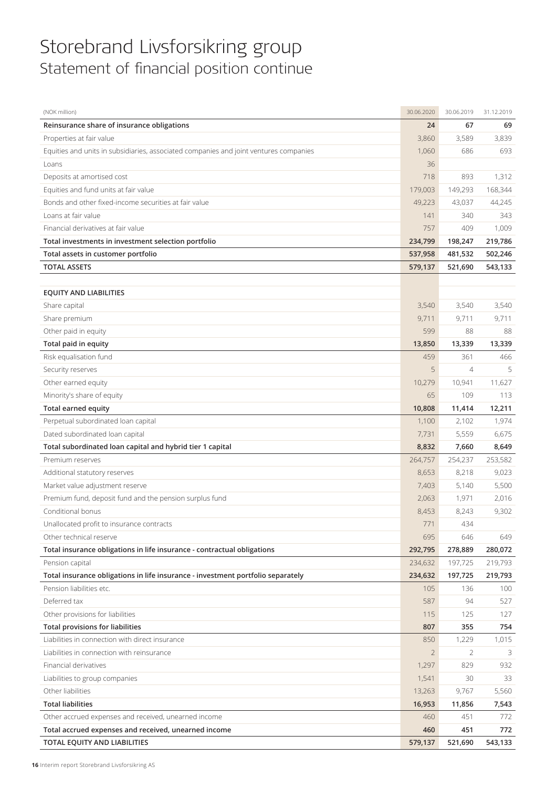# Storebrand Livsforsikring group Statement of financial position continue

| (NOK million)                                                                         | 30.06.2020     | 30.06.2019     | 31.12.2019 |
|---------------------------------------------------------------------------------------|----------------|----------------|------------|
| Reinsurance share of insurance obligations                                            | 24             | 67             | 69         |
| Properties at fair value                                                              | 3,860          | 3,589          | 3,839      |
| Equities and units in subsidiaries, associated companies and joint ventures companies | 1,060          | 686            | 693        |
| Loans                                                                                 | 36             |                |            |
| Deposits at amortised cost                                                            | 718            | 893            | 1,312      |
| Equities and fund units at fair value                                                 | 179,003        | 149,293        | 168,344    |
| Bonds and other fixed-income securities at fair value                                 | 49,223         | 43,037         | 44,245     |
| Loans at fair value                                                                   | 141            | 340            | 343        |
| Financial derivatives at fair value                                                   | 757            | 409            | 1,009      |
| Total investments in investment selection portfolio                                   | 234,799        | 198,247        | 219,786    |
| Total assets in customer portfolio                                                    | 537,958        | 481,532        | 502,246    |
| <b>TOTAL ASSETS</b>                                                                   | 579,137        | 521,690        | 543,133    |
|                                                                                       |                |                |            |
| <b>EQUITY AND LIABILITIES</b>                                                         |                |                |            |
| Share capital                                                                         | 3,540          | 3,540          | 3,540      |
| Share premium                                                                         | 9,711          | 9,711          | 9,711      |
| Other paid in equity                                                                  | 599            | 88             | 88         |
| Total paid in equity                                                                  | 13,850         | 13,339         | 13,339     |
| Risk equalisation fund                                                                | 459            | 361            | 466        |
| Security reserves                                                                     | 5              | $\overline{4}$ | 5          |
| Other earned equity                                                                   | 10,279         | 10,941         | 11,627     |
| Minority's share of equity                                                            | 65             | 109            | 113        |
| <b>Total earned equity</b>                                                            | 10,808         | 11,414         | 12,211     |
| Perpetual subordinated loan capital                                                   | 1,100          | 2,102          | 1,974      |
| Dated subordinated loan capital                                                       | 7,731          | 5,559          | 6,675      |
| Total subordinated loan capital and hybrid tier 1 capital                             | 8,832          | 7,660          | 8,649      |
| Premium reserves                                                                      | 264,757        | 254,237        | 253,582    |
| Additional statutory reserves                                                         | 8,653          | 8,218          | 9,023      |
| Market value adjustment reserve                                                       | 7,403          | 5,140          | 5,500      |
| Premium fund, deposit fund and the pension surplus fund                               | 2,063          | 1,971          | 2,016      |
| Conditional bonus                                                                     | 8,453          | 8,243          | 9,302      |
| Unallocated profit to insurance contracts                                             | 771            | 434            |            |
| Other technical reserve                                                               | 695            | 646            | 649        |
| Total insurance obligations in life insurance - contractual obligations               | 292,795        | 278,889        | 280,072    |
| Pension capital                                                                       | 234,632        | 197,725        | 219,793    |
| Total insurance obligations in life insurance - investment portfolio separately       | 234,632        | 197,725        | 219,793    |
| Pension liabilities etc.                                                              | 105            | 136            | 100        |
| Deferred tax                                                                          | 587            | 94             | 527        |
| Other provisions for liabilities                                                      | 115            | 125            | 127        |
| <b>Total provisions for liabilities</b>                                               | 807            | 355            | 754        |
| Liabilities in connection with direct insurance                                       | 850            | 1,229          | 1,015      |
| Liabilities in connection with reinsurance                                            | $\overline{2}$ | 2              | 3          |
| Financial derivatives                                                                 | 1,297          | 829            | 932        |
| Liabilities to group companies                                                        | 1,541          | 30             | 33         |
| Other liabilities                                                                     | 13,263         | 9,767          | 5,560      |
| <b>Total liabilities</b>                                                              | 16,953         | 11,856         | 7,543      |
| Other accrued expenses and received, unearned income                                  | 460            | 451            | 772        |
| Total accrued expenses and received, unearned income                                  | 460            | 451            | 772        |
| TOTAL EQUITY AND LIABILITIES                                                          | 579,137        | 521,690        | 543,133    |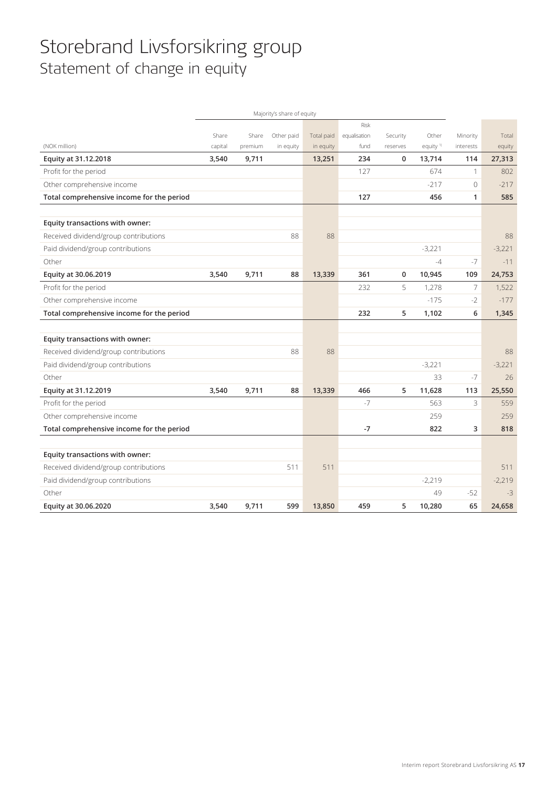# Storebrand Livsforsikring group Statement of change in equity

|                                           |         |         | Majority's share of equity |            |              |          |                      |                |          |
|-------------------------------------------|---------|---------|----------------------------|------------|--------------|----------|----------------------|----------------|----------|
|                                           |         |         |                            |            | Risk         |          |                      |                |          |
|                                           | Share   | Share   | Other paid                 | Total paid | equalisation | Security | Other                | Minority       | Total    |
| (NOK million)                             | capital | premium | in equity                  | in equity  | fund         | reserves | equity <sup>1)</sup> | interests      | equity   |
| Equity at 31.12.2018                      | 3,540   | 9,711   |                            | 13,251     | 234          | 0        | 13,714               | 114            | 27,313   |
| Profit for the period                     |         |         |                            |            | 127          |          | 674                  | 1              | 802      |
| Other comprehensive income                |         |         |                            |            |              |          | $-217$               | $\mathbf{0}$   | $-217$   |
| Total comprehensive income for the period |         |         |                            |            | 127          |          | 456                  | 1              | 585      |
|                                           |         |         |                            |            |              |          |                      |                |          |
| Equity transactions with owner:           |         |         |                            |            |              |          |                      |                |          |
| Received dividend/group contributions     |         |         | 88                         | 88         |              |          |                      |                | 88       |
| Paid dividend/group contributions         |         |         |                            |            |              |          | $-3,221$             |                | $-3,221$ |
| Other                                     |         |         |                            |            |              |          | $-4$                 | $-7$           | $-11$    |
| Equity at 30.06.2019                      | 3,540   | 9,711   | 88                         | 13,339     | 361          | 0        | 10,945               | 109            | 24,753   |
| Profit for the period                     |         |         |                            |            | 232          | 5        | 1,278                | $\overline{7}$ | 1,522    |
| Other comprehensive income                |         |         |                            |            |              |          | $-175$               | $-2$           | $-177$   |
| Total comprehensive income for the period |         |         |                            |            | 232          | 5        | 1,102                | 6              | 1,345    |
|                                           |         |         |                            |            |              |          |                      |                |          |
| Equity transactions with owner:           |         |         |                            |            |              |          |                      |                |          |
| Received dividend/group contributions     |         |         | 88                         | 88         |              |          |                      |                | 88       |
| Paid dividend/group contributions         |         |         |                            |            |              |          | $-3.221$             |                | $-3,221$ |
| Other                                     |         |         |                            |            |              |          | 33                   | $-7$           | 26       |
| Equity at 31.12.2019                      | 3,540   | 9,711   | 88                         | 13,339     | 466          | 5        | 11,628               | 113            | 25,550   |
| Profit for the period                     |         |         |                            |            | $-7$         |          | 563                  | 3              | 559      |
| Other comprehensive income                |         |         |                            |            |              |          | 259                  |                | 259      |
| Total comprehensive income for the period |         |         |                            |            | $-7$         |          | 822                  | 3              | 818      |
|                                           |         |         |                            |            |              |          |                      |                |          |
| Equity transactions with owner:           |         |         |                            |            |              |          |                      |                |          |
| Received dividend/group contributions     |         |         | 511                        | 511        |              |          |                      |                | 511      |
| Paid dividend/group contributions         |         |         |                            |            |              |          | $-2,219$             |                | $-2,219$ |
| Other                                     |         |         |                            |            |              |          | 49                   | $-52$          | $-3$     |
| Equity at 30.06.2020                      | 3,540   | 9,711   | 599                        | 13,850     | 459          | 5        | 10,280               | 65             | 24,658   |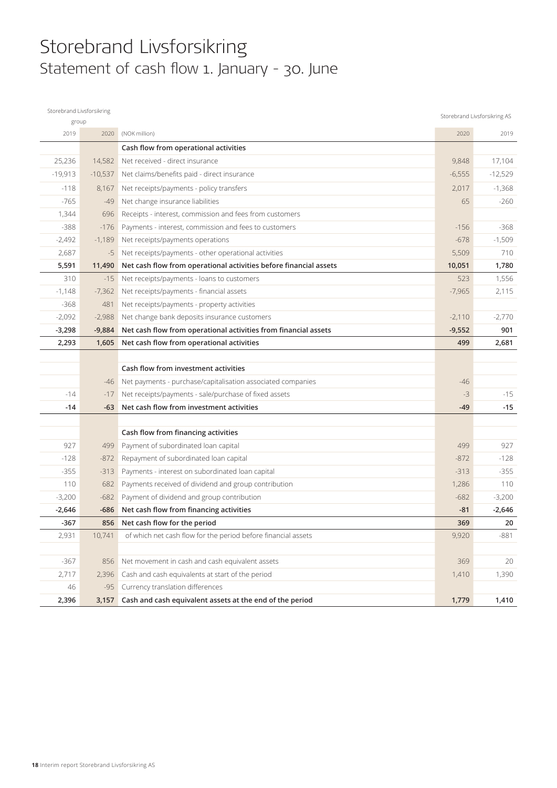# Storebrand Livsforsikring Statement of cash flow 1. January - 30. June

| Storebrand Livsforsikring |           |                                                                   |          | Storebrand Livsforsikring AS |
|---------------------------|-----------|-------------------------------------------------------------------|----------|------------------------------|
| group                     |           |                                                                   |          |                              |
| 2019                      | 2020      | (NOK million)                                                     | 2020     | 2019                         |
|                           |           | Cash flow from operational activities                             |          |                              |
| 25,236                    | 14,582    | Net received - direct insurance                                   | 9,848    | 17,104                       |
| $-19,913$                 | $-10,537$ | Net claims/benefits paid - direct insurance                       | $-6,555$ | $-12,529$                    |
| $-118$                    | 8,167     | Net receipts/payments - policy transfers                          | 2,017    | $-1,368$                     |
| $-765$                    | $-49$     | Net change insurance liabilities                                  | 65       | $-260$                       |
| 1,344                     | 696       | Receipts - interest, commission and fees from customers           |          |                              |
| $-388$                    | $-176$    | Payments - interest, commission and fees to customers             | $-156$   | $-368$                       |
| $-2,492$                  | $-1,189$  | Net receipts/payments operations                                  | $-678$   | $-1,509$                     |
| 2,687                     | $-5$      | Net receipts/payments - other operational activities              | 5,509    | 710                          |
| 5,591                     | 11,490    | Net cash flow from operational activities before financial assets | 10,051   | 1,780                        |
| 310                       | $-15$     | Net receipts/payments - loans to customers                        | 523      | 1,556                        |
| $-1,148$                  | $-7,362$  | Net receipts/payments - financial assets                          | $-7,965$ | 2,115                        |
| $-368$                    | 481       | Net receipts/payments - property activities                       |          |                              |
| $-2,092$                  | $-2,988$  | Net change bank deposits insurance customers                      | $-2,110$ | $-2,770$                     |
| $-3,298$                  | $-9,884$  | Net cash flow from operational activities from financial assets   | $-9,552$ | 901                          |
| 2,293                     | 1,605     | Net cash flow from operational activities                         | 499      | 2,681                        |
|                           |           |                                                                   |          |                              |
|                           |           | Cash flow from investment activities                              |          |                              |
|                           | -46       | Net payments - purchase/capitalisation associated companies       | -46      |                              |
| $-14$                     | $-17$     | Net receipts/payments - sale/purchase of fixed assets             | $-3$     | $-15$                        |
| -14                       | $-63$     | Net cash flow from investment activities                          | $-49$    | $-15$                        |
|                           |           |                                                                   |          |                              |
|                           |           | Cash flow from financing activities                               |          |                              |
| 927                       | 499       | Payment of subordinated loan capital                              | 499      | 927                          |
| $-128$                    | $-872$    | Repayment of subordinated loan capital                            | $-872$   | $-128$                       |
| $-355$                    | $-313$    | Payments - interest on subordinated loan capital                  | $-313$   | $-355$                       |
| 110                       | 682       | Payments received of dividend and group contribution              | 1,286    | 110                          |
| $-3,200$                  | $-682$    | Payment of dividend and group contribution                        | $-682$   | $-3,200$                     |
| $-2,646$                  | -686      | Net cash flow from financing activities                           | $-81$    | $-2,646$                     |
| $-367$                    | 856       | Net cash flow for the period                                      | 369      | 20                           |
| 2,931                     | 10,741    | of which net cash flow for the period before financial assets     | 9,920    | $-881$                       |
|                           |           |                                                                   |          |                              |
| $-367$                    | 856       | Net movement in cash and cash equivalent assets                   | 369      | 20                           |
| 2,717                     | 2,396     | Cash and cash equivalents at start of the period                  | 1,410    | 1,390                        |
| 46                        | $-95$     | Currency translation differences                                  |          |                              |
| 2,396                     | 3,157     | Cash and cash equivalent assets at the end of the period          | 1,779    | 1,410                        |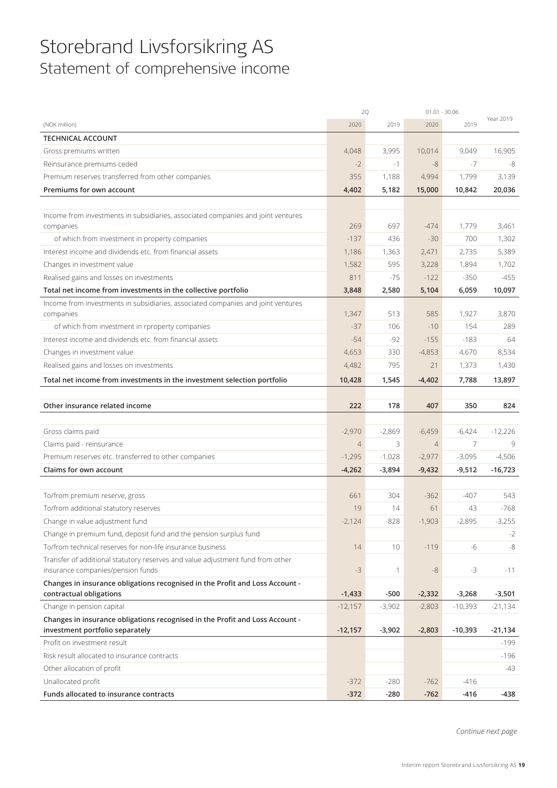# Storebrand Livsforsikring AS Statement of comprehensive income

|                                                                                                         | 2Q             |          |                | $01.01 - 30.06$ |           |
|---------------------------------------------------------------------------------------------------------|----------------|----------|----------------|-----------------|-----------|
| (NOK million)                                                                                           | 2020           | 2019     | 2020           | 2019            | Year 2019 |
| <b>TECHNICAL ACCOUNT</b>                                                                                |                |          |                |                 |           |
| Gross premiums written                                                                                  | 4,048          | 3,995    | 10,014         | 9,049           | 16,905    |
| Reinsurance premiums ceded                                                                              | $-2$           | $-1$     | $-8$           | $-7$            | -8        |
| Premium reserves transferred from other companies                                                       | 355            | 1,188    | 4,994          | 1,799           | 3,139     |
| Premiums for own account                                                                                | 4,402          | 5,182    | 15,000         | 10,842          | 20,036    |
|                                                                                                         |                |          |                |                 |           |
| Income from investments in subsidiaries, associated companies and joint ventures                        |                |          |                |                 |           |
| companies                                                                                               | 269            | 697      | $-474$         | 1,779           | 3,461     |
| of which from investment in property companies                                                          | $-137$         | 436      | $-30$          | 700             | 1,302     |
| Interest income and dividends etc. from financial assets                                                | 1,186          | 1,363    | 2,471          | 2,735           | 5,389     |
| Changes in investment value                                                                             | 1,582          | 595      | 3,228          | 1,894           | 1,702     |
| Realised gains and losses on investments                                                                | 811            | $-75$    | $-122$         | $-350$          | $-455$    |
| Total net income from investments in the collective portfolio                                           | 3,848          | 2,580    | 5,104          | 6,059           | 10,097    |
| Income from investments in subsidiaries, associated companies and joint ventures                        |                |          |                |                 |           |
| companies                                                                                               | 1,347          | 513      | 585            | 1,927           | 3,870     |
| of which from investment in rproperty companies                                                         | $-37$          | 106      | $-10$          | 154             | 289       |
| Interest income and dividends etc. from financial assets                                                | $-54$          | $-92$    | $-155$         | $-183$          | 64        |
| Changes in investment value                                                                             | 4,653          | 330      | $-4,853$       | 4,670           | 8,534     |
| Realised gains and losses on investments                                                                | 4,482          | 795      | 21             | 1,373           | 1,430     |
| Total net income from investments in the investment selection portfolio                                 | 10,428         | 1,545    | $-4,402$       | 7,788           | 13,897    |
|                                                                                                         |                |          |                |                 |           |
| Other insurance related income                                                                          | 222            | 178      | 407            | 350             | 824       |
|                                                                                                         |                |          |                |                 |           |
| Gross claims paid                                                                                       | $-2,970$       | $-2,869$ | $-6,459$       | $-6,424$        | $-12,226$ |
| Claims paid - reinsurance                                                                               | $\overline{4}$ | 3        | $\overline{4}$ | $\overline{7}$  | 9         |
| Premium reserves etc. transferred to other companies                                                    | $-1,295$       | $-1,028$ | $-2,977$       | $-3,095$        | $-4,506$  |
| Claims for own account                                                                                  | $-4,262$       | $-3,894$ | $-9,432$       | $-9,512$        | $-16,723$ |
|                                                                                                         |                |          |                |                 |           |
| To/from premium reserve, gross                                                                          | 661            | 304      | $-362$         | $-407$          | 543       |
| To/from additional statutory reserves                                                                   | 19             | 14       | 61             | 43              | $-768$    |
| Change in value adjustment fund                                                                         | $-2,124$       | $-828$   | $-1,903$       | $-2.895$        | $-3,255$  |
| Change in premium fund, deposit fund and the pension surplus fund                                       |                |          |                |                 | $-2$      |
| To/from technical reserves for non-life insurance business                                              | 14             | 10       | $-119$         | -6              | $-8$      |
| Transfer of additional statutory reserves and value adjustment fund from other                          |                |          |                |                 |           |
| insurance companies/pension funds                                                                       | $-3$           | 1        | $-8$           | $-3$            | $-11$     |
| Changes in insurance obligations recognised in the Profit and Loss Account -<br>contractual obligations | $-1,433$       | $-500$   | $-2,332$       | $-3,268$        | $-3,501$  |
| Change in pension capital                                                                               | $-12,157$      | $-3,902$ | $-2,803$       | $-10,393$       | $-21,134$ |
| Changes in insurance obligations recognised in the Profit and Loss Account -                            |                |          |                |                 |           |
| investment portfolio separately                                                                         | $-12,157$      | $-3,902$ | $-2,803$       | $-10,393$       | $-21,134$ |
| Profit on investment result                                                                             |                |          |                |                 | $-199$    |
| Risk result allocated to insurance contracts                                                            |                |          |                |                 | $-196$    |
| Other allocation of profit                                                                              |                |          |                |                 | -43       |
| Unallocated profit                                                                                      | $-372$         | $-280$   | $-762$         | $-416$          |           |
| Funds allocated to insurance contracts                                                                  | $-372$         | $-280$   | $-762$         | $-416$          | -438      |

*Continue next page*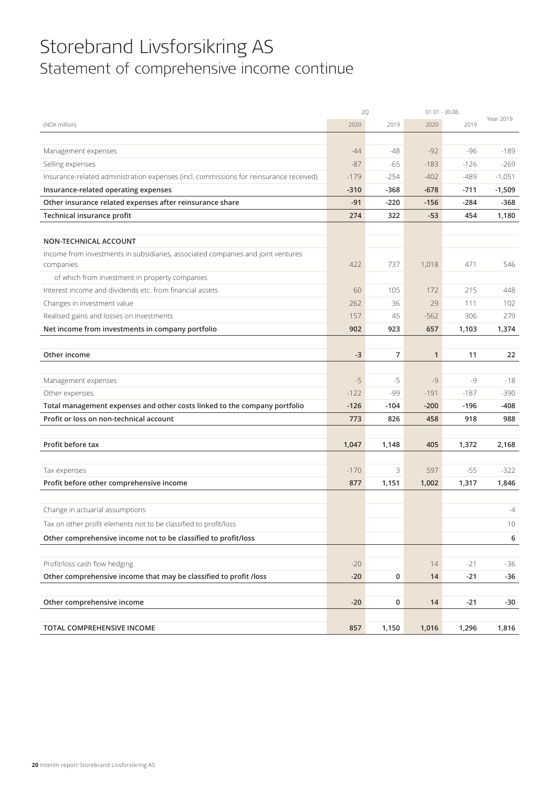# Storebrand Livsforsikring AS Statement of comprehensive income continue

|                                                                                        | 2Q     |        | $01.01 - 30.06$ |        |           |
|----------------------------------------------------------------------------------------|--------|--------|-----------------|--------|-----------|
| (NOK million)                                                                          | 2020   | 2019   | 2020            | 2019   | Year 2019 |
|                                                                                        |        |        |                 |        |           |
| Management expenses                                                                    | $-44$  | -48    | $-92$           | $-96$  | $-189$    |
| Selling expenses                                                                       | $-87$  | $-65$  | $-183$          | $-126$ | $-269$    |
| Insurance-related administration expenses (incl. commissions for reinsurance received) | $-179$ | $-254$ | $-402$          | $-489$ | $-1,051$  |
| Insurance-related operating expenses                                                   | $-310$ | $-368$ | $-678$          | $-711$ | $-1,509$  |
| Other insurance related expenses after reinsurance share                               | $-91$  | $-220$ | $-156$          | $-284$ | $-368$    |
| Technical insurance profit                                                             | 274    | 322    | $-53$           | 454    | 1,180     |
|                                                                                        |        |        |                 |        |           |
| NON-TECHNICAL ACCOUNT                                                                  |        |        |                 |        |           |
| Income from investments in subsidiaries, associated companies and joint ventures       |        |        |                 |        |           |
| companies                                                                              | 422    | 737    | 1,018           | 471    | 546       |
| of which from investment in property companies                                         |        |        |                 |        |           |
| Interest income and dividends etc. from financial assets                               | 60     | 105    | 172             | 215    | 448       |
| Changes in investment value                                                            | 262    | 36     | 29              | 111    | 102       |
| Realised gains and losses on investments                                               | 157    | 45     | $-562$          | 306    | 279       |
| Net income from investments in company portfolio                                       | 902    | 923    | 657             | 1,103  | 1,374     |
|                                                                                        |        |        |                 |        |           |
| Other income                                                                           | $-3$   | 7      | $\mathbf{1}$    | 11     | 22        |
|                                                                                        |        |        |                 |        |           |
| Management expenses                                                                    | $-5$   | $-5$   | $-9$            | $-9$   | $-18$     |
| Other expenses                                                                         | $-122$ | -99    | $-191$          | $-187$ | $-390$    |
| Total management expenses and other costs linked to the company portfolio              | $-126$ | $-104$ | $-200$          | $-196$ | -408      |
| Profit or loss on non-technical account                                                | 773    | 826    | 458             | 918    | 988       |
| Profit before tax                                                                      | 1,047  | 1,148  | 405             | 1,372  | 2,168     |
|                                                                                        |        |        |                 |        |           |
| Tax expenses                                                                           | $-170$ | 3      | 597             | $-55$  | $-322$    |
| Profit before other comprehensive income                                               | 877    | 1,151  | 1,002           | 1,317  | 1,846     |
|                                                                                        |        |        |                 |        |           |
| Change in actuarial assumptions                                                        |        |        |                 |        | $-4$      |
| Tax on other profit elements not to be classified to profit/loss                       |        |        |                 |        | 10        |
| Other comprehensive income not to be classified to profit/loss                         |        |        |                 |        | 6         |
|                                                                                        |        |        |                 |        |           |
| Profit/loss cash flow hedging                                                          | $-20$  |        | 14              | $-21$  | $-36$     |
| Other comprehensive income that may be classified to profit /loss                      | $-20$  | 0      | 14              | $-21$  | $-36$     |
|                                                                                        |        |        |                 |        |           |
| Other comprehensive income                                                             | $-20$  | 0      | 14              | $-21$  | -30       |
|                                                                                        |        |        |                 |        |           |
| TOTAL COMPREHENSIVE INCOME                                                             | 857    | 1,150  | 1,016           | 1,296  | 1,816     |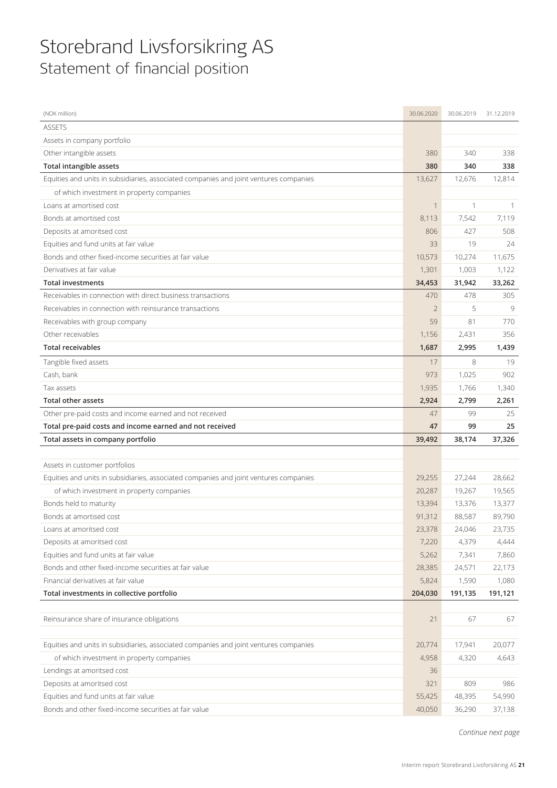# Storebrand Livsforsikring AS Statement of financial position

| (NOK million)                                                                         | 30.06.2020     | 30.06.2019 | 31.12.2019 |
|---------------------------------------------------------------------------------------|----------------|------------|------------|
| <b>ASSETS</b>                                                                         |                |            |            |
| Assets in company portfolio                                                           |                |            |            |
| Other intangible assets                                                               | 380            | 340        | 338        |
| <b>Total intangible assets</b>                                                        | 380            | 340        | 338        |
| Equities and units in subsidiaries, associated companies and joint ventures companies | 13,627         | 12,676     | 12,814     |
| of which investment in property companies                                             |                |            |            |
| Loans at amortised cost                                                               | 1              | 1          | 1          |
| Bonds at amortised cost                                                               | 8,113          | 7,542      | 7,119      |
| Deposits at amoritsed cost                                                            | 806            | 427        | 508        |
| Equities and fund units at fair value                                                 | 33             | 19         | 24         |
| Bonds and other fixed-income securities at fair value                                 | 10,573         | 10,274     | 11,675     |
| Derivatives at fair value                                                             | 1,301          | 1,003      | 1,122      |
| <b>Total investments</b>                                                              | 34,453         | 31,942     | 33,262     |
| Receivables in connection with direct business transactions                           | 470            | 478        | 305        |
| Receivables in connection with reinsurance transactions                               | $\overline{2}$ | 5          | 9          |
| Receivables with group company                                                        | 59             | 81         | 770        |
| Other receivables                                                                     | 1,156          | 2,431      | 356        |
| <b>Total receivables</b>                                                              | 1,687          | 2,995      | 1,439      |
| Tangible fixed assets                                                                 | 17             | 8          | 19         |
| Cash, bank                                                                            | 973            | 1,025      | 902        |
| Tax assets                                                                            | 1,935          | 1,766      | 1,340      |
| <b>Total other assets</b>                                                             | 2,924          | 2,799      | 2,261      |
|                                                                                       |                |            |            |
| Other pre-paid costs and income earned and not received                               | 47             | 99         | 25         |
| Total pre-paid costs and income earned and not received                               | 47             | 99         | 25         |
| Total assets in company portfolio                                                     | 39,492         | 38,174     | 37,326     |
|                                                                                       |                |            |            |
| Assets in customer portfolios                                                         |                |            |            |
| Equities and units in subsidiaries, associated companies and joint ventures companies | 29,255         | 27,244     | 28,662     |
| of which investment in property companies                                             | 20,287         | 19,267     | 19,565     |
| Bonds held to maturity                                                                | 13,394         | 13,376     | 13,377     |
| Bonds at amortised cost                                                               | 91,312         | 88,587     | 89,790     |
| Loans at amoritsed cost                                                               | 23,378         | 24,046     | 23,735     |
| Deposits at amoritsed cost                                                            | 7,220          | 4,379      | 4,444      |
| Equities and fund units at fair value                                                 | 5,262          | 7,341      | 7,860      |
| Bonds and other fixed-income securities at fair value                                 | 28,385         | 24,571     | 22,173     |
| Financial derivatives at fair value                                                   | 5,824          | 1,590      | 1,080      |
| Total investments in collective portfolio                                             | 204,030        | 191,135    | 191,121    |
|                                                                                       |                |            |            |
| Reinsurance share of insurance obligations                                            | 21             | 67         | 67         |
| Equities and units in subsidiaries, associated companies and joint ventures companies | 20,774         | 17,941     | 20,077     |
| of which investment in property companies                                             | 4,958          | 4,320      | 4,643      |
| Lendings at amoritsed cost                                                            | 36             |            |            |
| Deposits at amoritsed cost                                                            | 321            | 809        | 986        |
| Equities and fund units at fair value                                                 | 55,425         | 48,395     | 54,990     |

*Continue next page*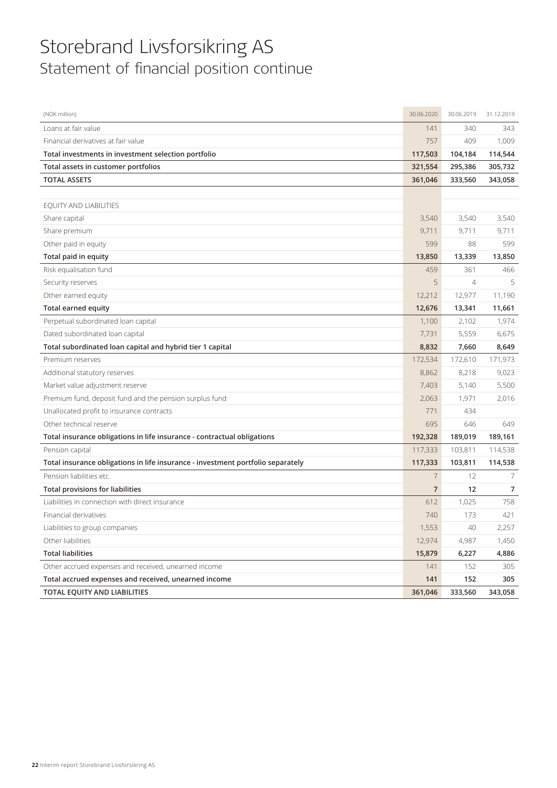# Storebrand Livsforsikring AS Statement of financial position continue

| (NOK million)                                                                   | 30.06.2020     | 30.06.2019     | 31.12.2019 |
|---------------------------------------------------------------------------------|----------------|----------------|------------|
| Loans at fair value                                                             | 141            | 340            | 343        |
| Financial derivatives at fair value                                             | 757            | 409            | 1,009      |
| Total investments in investment selection portfolio                             | 117,503        | 104,184        | 114,544    |
| Total assets in customer portfolios                                             | 321,554        | 295,386        | 305,732    |
| <b>TOTAL ASSETS</b>                                                             | 361,046        | 333,560        | 343,058    |
|                                                                                 |                |                |            |
| EQUITY AND LIABILITIES                                                          |                |                |            |
| Share capital                                                                   | 3,540          | 3,540          | 3,540      |
| Share premium                                                                   | 9,711          | 9,711          | 9,711      |
| Other paid in equity                                                            | 599            | 88             | 599        |
| Total paid in equity                                                            | 13,850         | 13,339         | 13,850     |
| Risk equalisation fund                                                          | 459            | 361            | 466        |
| Security reserves                                                               | 5              | $\overline{4}$ | 5          |
| Other earned equity                                                             | 12,212         | 12,977         | 11,190     |
| Total earned equity                                                             | 12,676         | 13,341         | 11,661     |
| Perpetual subordinated loan capital                                             | 1,100          | 2,102          | 1,974      |
| Dated subordinated loan capital                                                 | 7,731          | 5,559          | 6,675      |
| Total subordinated loan capital and hybrid tier 1 capital                       | 8,832          | 7,660          | 8,649      |
| Premium reserves                                                                | 172,534        | 172,610        | 171,973    |
| Additional statutory reserves                                                   | 8,862          | 8,218          | 9,023      |
| Market value adjustment reserve                                                 | 7,403          | 5,140          | 5,500      |
| Premium fund, deposit fund and the pension surplus fund                         | 2,063          | 1,971          | 2,016      |
| Unallocated profit to insurance contracts                                       | 771            | 434            |            |
| Other technical reserve                                                         | 695            | 646            | 649        |
| Total insurance obligations in life insurance - contractual obligations         | 192,328        | 189,019        | 189,161    |
| Pension capital                                                                 | 117,333        | 103,811        | 114,538    |
| Total insurance obligations in life insurance - investment portfolio separately | 117,333        | 103,811        | 114,538    |
| Pension liabilities etc.                                                        | 7              | 12             | 7          |
| <b>Total provisions for liabilities</b>                                         | $\overline{7}$ | 12             | 7          |
| Liabilities in connection with direct insurance                                 | 612            | 1,025          | 758        |
| Financial derivatives                                                           | 740            | 173            | 421        |
| Liabilities to group companies                                                  | 1,553          | 40             | 2,257      |
| Other liabilities                                                               | 12,974         | 4,987          | 1,450      |
| <b>Total liabilities</b>                                                        | 15,879         | 6,227          | 4,886      |
| Other accrued expenses and received, unearned income                            | 141            | 152            | 305        |
| Total accrued expenses and received, unearned income                            | 141            | 152            | 305        |
| TOTAL EQUITY AND LIABILITIES                                                    | 361,046        | 333,560        | 343,058    |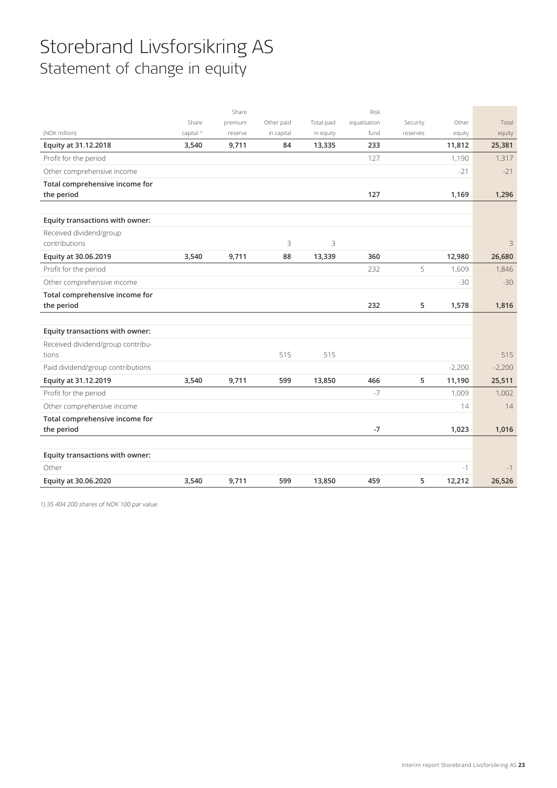# Storebrand Livsforsikring AS Statement of change in equity

|                                   |                       | Share   |            |            | Risk         |          |          |          |
|-----------------------------------|-----------------------|---------|------------|------------|--------------|----------|----------|----------|
|                                   | Share                 | premium | Other paid | Total paid | equalisation | Security | Other    | Total    |
| (NOK million)                     | capital <sup>1)</sup> | reserve | in capital | in equity  | fund         | reserves | equity   | equity   |
| Equity at 31.12.2018              | 3,540                 | 9,711   | 84         | 13,335     | 233          |          | 11,812   | 25,381   |
| Profit for the period             |                       |         |            |            | 127          |          | 1,190    | 1,317    |
| Other comprehensive income        |                       |         |            |            |              |          | $-21$    | $-21$    |
| Total comprehensive income for    |                       |         |            |            |              |          |          |          |
| the period                        |                       |         |            |            | 127          |          | 1,169    | 1,296    |
|                                   |                       |         |            |            |              |          |          |          |
| Equity transactions with owner:   |                       |         |            |            |              |          |          |          |
| Received dividend/group           |                       |         |            |            |              |          |          |          |
| contributions                     |                       |         | 3          | 3          |              |          |          | 3        |
| Equity at 30.06.2019              | 3,540                 | 9,711   | 88         | 13,339     | 360          |          | 12,980   | 26,680   |
| Profit for the period             |                       |         |            |            | 232          | 5        | 1,609    | 1,846    |
| Other comprehensive income        |                       |         |            |            |              |          | $-30$    | $-30$    |
| Total comprehensive income for    |                       |         |            |            |              |          |          |          |
| the period                        |                       |         |            |            | 232          | 5        | 1,578    | 1,816    |
|                                   |                       |         |            |            |              |          |          |          |
| Equity transactions with owner:   |                       |         |            |            |              |          |          |          |
| Received dividend/group contribu- |                       |         |            |            |              |          |          |          |
| tions                             |                       |         | 515        | 515        |              |          |          | 515      |
| Paid dividend/group contributions |                       |         |            |            |              |          | $-2,200$ | $-2,200$ |
| Equity at 31.12.2019              | 3,540                 | 9,711   | 599        | 13,850     | 466          | 5        | 11,190   | 25,511   |
| Profit for the period             |                       |         |            |            | $-7$         |          | 1,009    | 1,002    |
| Other comprehensive income        |                       |         |            |            |              |          | 14       | 14       |
| Total comprehensive income for    |                       |         |            |            |              |          |          |          |
| the period                        |                       |         |            |            | $-7$         |          | 1,023    | 1,016    |
|                                   |                       |         |            |            |              |          |          |          |
| Equity transactions with owner:   |                       |         |            |            |              |          |          |          |
| Other                             |                       |         |            |            |              |          |          |          |
|                                   |                       |         |            |            |              |          | $-1$     | $-1$     |

1) 35 404 200 shares of NOK 100 par value.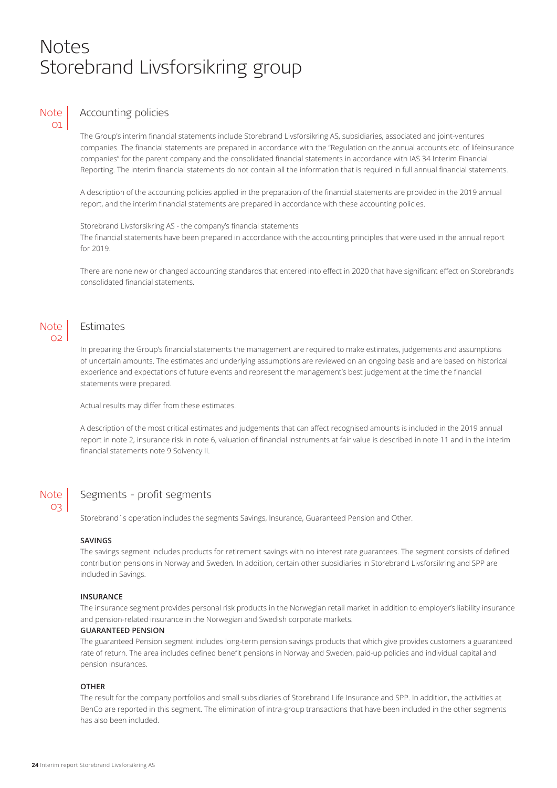# Notes Storebrand Livsforsikring group

## **Note** 01

# Accounting policies

The Group's interim financial statements include Storebrand Livsforsikring AS, subsidiaries, associated and joint-ventures companies. The financial statements are prepared in accordance with the "Regulation on the annual accounts etc. of lifeinsurance companies" for the parent company and the consolidated financial statements in accordance with IAS 34 Interim Financial Reporting. The interim financial statements do not contain all the information that is required in full annual financial statements.

A description of the accounting policies applied in the preparation of the financial statements are provided in the 2019 annual report, and the interim financial statements are prepared in accordance with these accounting policies.

Storebrand Livsforsikring AS - the company's financial statements The financial statements have been prepared in accordance with the accounting principles that were used in the annual report for 2019.

There are none new or changed accounting standards that entered into effect in 2020 that have significant effect on Storebrand's consolidated financial statements.



# Estimates

In preparing the Group's financial statements the management are required to make estimates, judgements and assumptions of uncertain amounts. The estimates and underlying assumptions are reviewed on an ongoing basis and are based on historical experience and expectations of future events and represent the management's best judgement at the time the financial statements were prepared.

Actual results may differ from these estimates.

A description of the most critical estimates and judgements that can affect recognised amounts is included in the 2019 annual report in note 2, insurance risk in note 6, valuation of financial instruments at fair value is described in note 11 and in the interim financial statements note 9 Solvency II.

# **Note** 03

# Segments - profit segments

Storebrand´s operation includes the segments Savings, Insurance, Guaranteed Pension and Other.

### **SAVINGS**

The savings segment includes products for retirement savings with no interest rate guarantees. The segment consists of defined contribution pensions in Norway and Sweden. In addition, certain other subsidiaries in Storebrand Livsforsikring and SPP are included in Savings.

### **INSURANCE**

The insurance segment provides personal risk products in the Norwegian retail market in addition to employer's liability insurance and pension-related insurance in the Norwegian and Swedish corporate markets.

### **GUARANTEED PENSION**

The guaranteed Pension segment includes long-term pension savings products that which give provides customers a guaranteed rate of return. The area includes defined benefit pensions in Norway and Sweden, paid-up policies and individual capital and pension insurances.

### **OTHER**

The result for the company portfolios and small subsidiaries of Storebrand Life Insurance and SPP. In addition, the activities at BenCo are reported in this segment. The elimination of intra-group transactions that have been included in the other segments has also been included.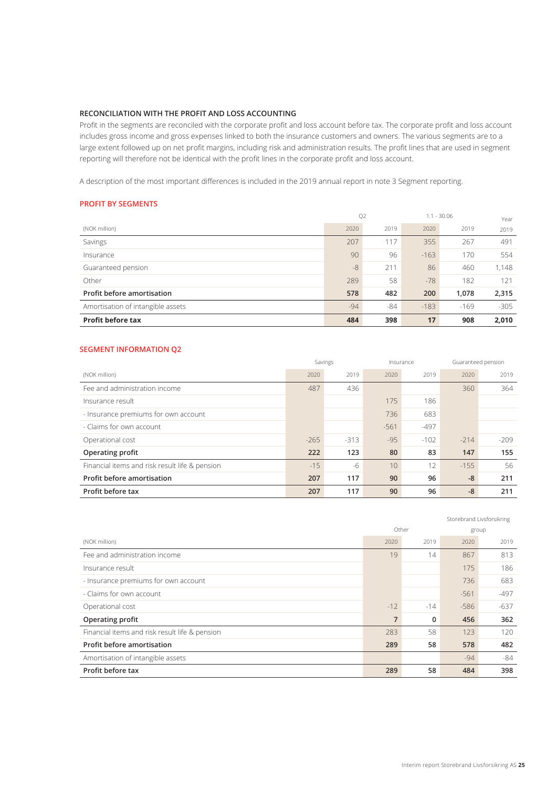## **RECONCILIATION WITH THE PROFIT AND LOSS ACCOUNTING**

Profit in the segments are reconciled with the corporate profit and loss account before tax. The corporate profit and loss account includes gross income and gross expenses linked to both the insurance customers and owners. The various segments are to a large extent followed up on net profit margins, including risk and administration results. The profit lines that are used in segment reporting will therefore not be identical with the profit lines in the corporate profit and loss account.

A description of the most important differences is included in the 2019 annual report in note 3 Segment reporting.

## **PROFIT BY SEGMENTS**

|                                   | Q <sub>2</sub> |       | $1.1 - 30.06$ |        | Year   |
|-----------------------------------|----------------|-------|---------------|--------|--------|
| (NOK million)                     | 2020           | 2019  | 2020          | 2019   | 2019   |
| Savings                           | 207            | 117   | 355           | 267    | 491    |
| Insurance                         | 90             | 96    | $-163$        | 170    | 554    |
| Guaranteed pension                | $-8$           | 211   | 86            | 460    | 1,148  |
| Other                             | 289            | 58    | $-78$         | 182    | 121    |
| <b>Profit before amortisation</b> | 578            | 482   | 200           | 1,078  | 2,315  |
| Amortisation of intangible assets | $-94$          | $-84$ | $-183$        | $-169$ | $-305$ |
| <b>Profit before tax</b>          | 484            | 398   | 17            | 908    | 2,010  |

## **SEGMENT INFORMATION Q2**

|                                                | Savings |        | Insurance |        |        | Guaranteed pension |
|------------------------------------------------|---------|--------|-----------|--------|--------|--------------------|
| (NOK million)                                  | 2020    | 2019   | 2020      | 2019   | 2020   | 2019               |
| Fee and administration income                  | 487     | 436    |           |        | 360    | 364                |
| Insurance result                               |         |        | 175       | 186    |        |                    |
| - Insurance premiums for own account           |         |        | 736       | 683    |        |                    |
| - Claims for own account                       |         |        | $-561$    | $-497$ |        |                    |
| Operational cost                               | $-265$  | $-313$ | $-95$     | $-102$ | $-214$ | $-209$             |
| Operating profit                               | 222     | 123    | 80        | 83     | 147    | 155                |
| Financial items and risk result life & pension | $-15$   | -6     | 10        | 12     | $-155$ | 56                 |
| <b>Profit before amortisation</b>              | 207     | 117    | 90        | 96     | $-8$   | 211                |
| Profit before tax                              | 207     | 117    | 90        | 96     | $-8$   | 211                |

|                                                |                |              |        | Storebrand Livsforsikring |
|------------------------------------------------|----------------|--------------|--------|---------------------------|
|                                                |                | Other        |        | group                     |
| (NOK million)                                  | 2020           | 2019         | 2020   | 2019                      |
| Fee and administration income                  | 19             | 14           | 867    | 813                       |
| Insurance result                               |                |              | 175    | 186                       |
| - Insurance premiums for own account           |                |              | 736    | 683                       |
| - Claims for own account                       |                |              | $-561$ | $-497$                    |
| Operational cost                               | $-12$          | $-14$        | $-586$ | $-637$                    |
| Operating profit                               | $\overline{7}$ | $\mathbf{0}$ | 456    | 362                       |
| Financial items and risk result life & pension | 283            | 58           | 123    | 120                       |
| Profit before amortisation                     | 289            | 58           | 578    | 482                       |
| Amortisation of intangible assets              |                |              | $-94$  | -84                       |
| Profit before tax                              | 289            | 58           | 484    | 398                       |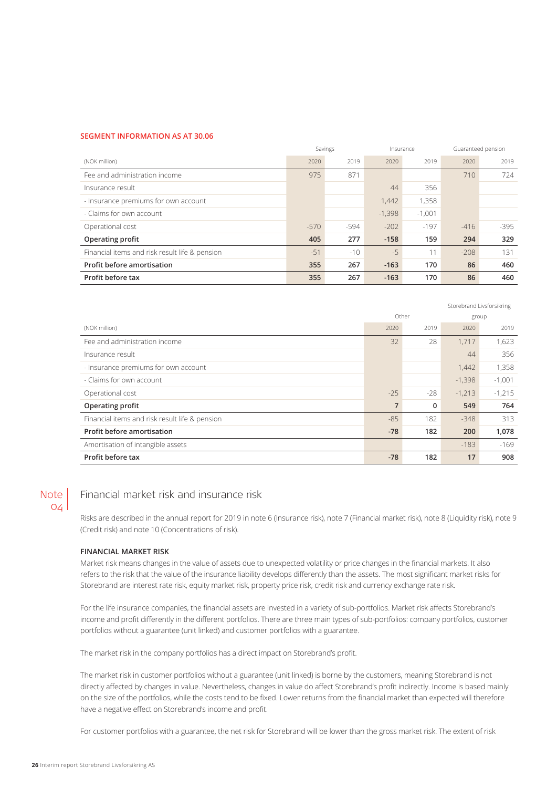### **SEGMENT INFORMATION AS AT 30.06**

|                                                | Savings |       | Insurance |          |        | Guaranteed pension |
|------------------------------------------------|---------|-------|-----------|----------|--------|--------------------|
| (NOK million)                                  | 2020    | 2019  | 2020      | 2019     | 2020   | 2019               |
| Fee and administration income                  | 975     | 871   |           |          | 710    | 724                |
| Insurance result                               |         |       | 44        | 356      |        |                    |
| - Insurance premiums for own account           |         |       | 1,442     | 1,358    |        |                    |
| - Claims for own account                       |         |       | $-1,398$  | $-1,001$ |        |                    |
| Operational cost                               | $-570$  | -594  | $-202$    | $-197$   | $-416$ | -395               |
| <b>Operating profit</b>                        | 405     | 277   | $-158$    | 159      | 294    | 329                |
| Financial items and risk result life & pension | $-51$   | $-10$ | $-5$      | 11       | $-208$ | 131                |
| Profit before amortisation                     | 355     | 267   | $-163$    | 170      | 86     | 460                |
| Profit before tax                              | 355     | 267   | $-163$    | 170      | 86     | 460                |

|                                                |                |       |          | Storebrand Livsforsikring |
|------------------------------------------------|----------------|-------|----------|---------------------------|
|                                                |                | Other |          | group                     |
| (NOK million)                                  | 2020           | 2019  | 2020     | 2019                      |
| Fee and administration income                  | 32             | 28    | 1,717    | 1,623                     |
| Insurance result                               |                |       | 44       | 356                       |
| - Insurance premiums for own account           |                |       | 1,442    | 1,358                     |
| - Claims for own account                       |                |       | $-1,398$ | $-1,001$                  |
| Operational cost                               | $-25$          | $-28$ | $-1,213$ | $-1,215$                  |
| Operating profit                               | $\overline{7}$ | 0     | 549      | 764                       |
| Financial items and risk result life & pension | $-85$          | 182   | $-348$   | 313                       |
| Profit before amortisation                     | $-78$          | 182   | 200      | 1,078                     |
| Amortisation of intangible assets              |                |       | $-183$   | $-169$                    |
| Profit before tax                              | $-78$          | 182   | 17       | 908                       |

## Note  $O\angle$

# Financial market risk and insurance risk

Risks are described in the annual report for 2019 in note 6 (Insurance risk), note 7 (Financial market risk), note 8 (Liquidity risk), note 9 (Credit risk) and note 10 (Concentrations of risk).

### **FINANCIAL MARKET RISK**

Market risk means changes in the value of assets due to unexpected volatility or price changes in the financial markets. It also refers to the risk that the value of the insurance liability develops differently than the assets. The most significant market risks for Storebrand are interest rate risk, equity market risk, property price risk, credit risk and currency exchange rate risk.

For the life insurance companies, the financial assets are invested in a variety of sub-portfolios. Market risk affects Storebrand's income and profit differently in the different portfolios. There are three main types of sub-portfolios: company portfolios, customer portfolios without a guarantee (unit linked) and customer portfolios with a guarantee.

The market risk in the company portfolios has a direct impact on Storebrand's profit.

The market risk in customer portfolios without a guarantee (unit linked) is borne by the customers, meaning Storebrand is not directly affected by changes in value. Nevertheless, changes in value do affect Storebrand's profit indirectly. Income is based mainly on the size of the portfolios, while the costs tend to be fixed. Lower returns from the financial market than expected will therefore have a negative effect on Storebrand's income and profit.

For customer portfolios with a guarantee, the net risk for Storebrand will be lower than the gross market risk. The extent of risk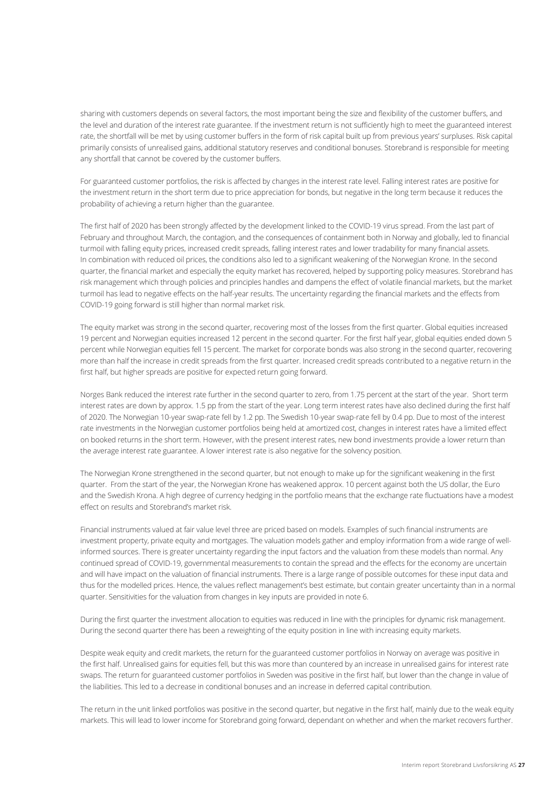sharing with customers depends on several factors, the most important being the size and flexibility of the customer buffers, and the level and duration of the interest rate guarantee. If the investment return is not sufficiently high to meet the guaranteed interest rate, the shortfall will be met by using customer buffers in the form of risk capital built up from previous years' surpluses. Risk capital primarily consists of unrealised gains, additional statutory reserves and conditional bonuses. Storebrand is responsible for meeting any shortfall that cannot be covered by the customer buffers.

For guaranteed customer portfolios, the risk is affected by changes in the interest rate level. Falling interest rates are positive for the investment return in the short term due to price appreciation for bonds, but negative in the long term because it reduces the probability of achieving a return higher than the guarantee.

The first half of 2020 has been strongly affected by the development linked to the COVID-19 virus spread. From the last part of February and throughout March, the contagion, and the consequences of containment both in Norway and globally, led to financial turmoil with falling equity prices, increased credit spreads, falling interest rates and lower tradability for many financial assets. In combination with reduced oil prices, the conditions also led to a significant weakening of the Norwegian Krone. In the second quarter, the financial market and especially the equity market has recovered, helped by supporting policy measures. Storebrand has risk management which through policies and principles handles and dampens the effect of volatile financial markets, but the market turmoil has lead to negative effects on the half-year results. The uncertainty regarding the financial markets and the effects from COVID-19 going forward is still higher than normal market risk.

The equity market was strong in the second quarter, recovering most of the losses from the first quarter. Global equities increased 19 percent and Norwegian equities increased 12 percent in the second quarter. For the first half year, global equities ended down 5 percent while Norwegian equities fell 15 percent. The market for corporate bonds was also strong in the second quarter, recovering more than half the increase in credit spreads from the first quarter. Increased credit spreads contributed to a negative return in the first half, but higher spreads are positive for expected return going forward.

Norges Bank reduced the interest rate further in the second quarter to zero, from 1.75 percent at the start of the year. Short term interest rates are down by approx. 1.5 pp from the start of the year. Long term interest rates have also declined during the first half of 2020. The Norwegian 10-year swap-rate fell by 1.2 pp. The Swedish 10-year swap-rate fell by 0.4 pp. Due to most of the interest rate investments in the Norwegian customer portfolios being held at amortized cost, changes in interest rates have a limited effect on booked returns in the short term. However, with the present interest rates, new bond investments provide a lower return than the average interest rate guarantee. A lower interest rate is also negative for the solvency position.

The Norwegian Krone strengthened in the second quarter, but not enough to make up for the significant weakening in the first quarter. From the start of the year, the Norwegian Krone has weakened approx. 10 percent against both the US dollar, the Euro and the Swedish Krona. A high degree of currency hedging in the portfolio means that the exchange rate fluctuations have a modest effect on results and Storebrand's market risk.

Financial instruments valued at fair value level three are priced based on models. Examples of such financial instruments are investment property, private equity and mortgages. The valuation models gather and employ information from a wide range of wellinformed sources. There is greater uncertainty regarding the input factors and the valuation from these models than normal. Any continued spread of COVID-19, governmental measurements to contain the spread and the effects for the economy are uncertain and will have impact on the valuation of financial instruments. There is a large range of possible outcomes for these input data and thus for the modelled prices. Hence, the values reflect management's best estimate, but contain greater uncertainty than in a normal quarter. Sensitivities for the valuation from changes in key inputs are provided in note 6.

During the first quarter the investment allocation to equities was reduced in line with the principles for dynamic risk management. During the second quarter there has been a reweighting of the equity position in line with increasing equity markets.

Despite weak equity and credit markets, the return for the guaranteed customer portfolios in Norway on average was positive in the first half. Unrealised gains for equities fell, but this was more than countered by an increase in unrealised gains for interest rate swaps. The return for guaranteed customer portfolios in Sweden was positive in the first half, but lower than the change in value of the liabilities. This led to a decrease in conditional bonuses and an increase in deferred capital contribution.

The return in the unit linked portfolios was positive in the second quarter, but negative in the first half, mainly due to the weak equity markets. This will lead to lower income for Storebrand going forward, dependant on whether and when the market recovers further.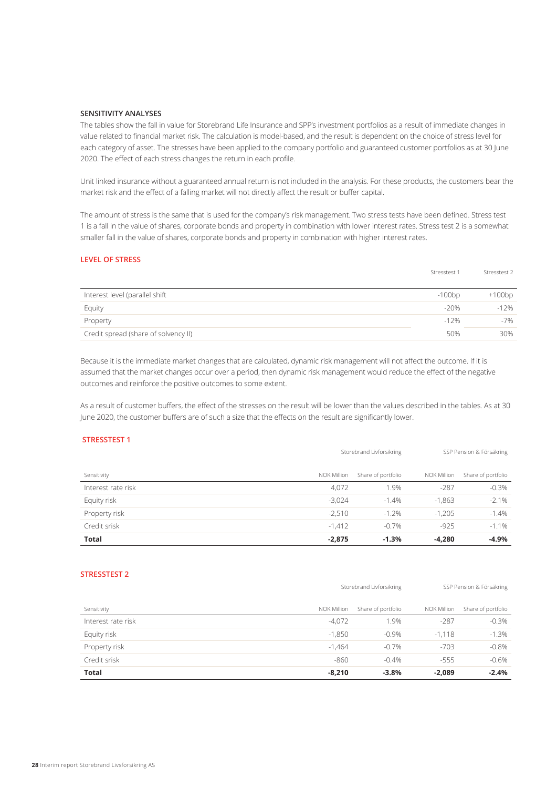## **SENSITIVITY ANALYSES**

The tables show the fall in value for Storebrand Life Insurance and SPP's investment portfolios as a result of immediate changes in value related to financial market risk. The calculation is model-based, and the result is dependent on the choice of stress level for each category of asset. The stresses have been applied to the company portfolio and guaranteed customer portfolios as at 30 June 2020. The effect of each stress changes the return in each profile.

Unit linked insurance without a guaranteed annual return is not included in the analysis. For these products, the customers bear the market risk and the effect of a falling market will not directly affect the result or buffer capital.

The amount of stress is the same that is used for the company's risk management. Two stress tests have been defined. Stress test 1 is a fall in the value of shares, corporate bonds and property in combination with lower interest rates. Stress test 2 is a somewhat smaller fall in the value of shares, corporate bonds and property in combination with higher interest rates.

### **LEVEL OF STRESS**

|                                      | Stresstest 1 | Stresstest 2 |
|--------------------------------------|--------------|--------------|
| Interest level (parallel shift       | $-100bp$     | $+100bp$     |
| Equity                               | $-20%$       | $-12%$       |
| Property                             | $-12%$       | $-7%$        |
| Credit spread (share of solvency II) | 50%          | 30%          |

Because it is the immediate market changes that are calculated, dynamic risk management will not affect the outcome. If it is assumed that the market changes occur over a period, then dynamic risk management would reduce the effect of the negative outcomes and reinforce the positive outcomes to some extent.

As a result of customer buffers, the effect of the stresses on the result will be lower than the values described in the tables. As at 30 June 2020, the customer buffers are of such a size that the effects on the result are significantly lower.

## **STRESSTEST 1**

|                    | Storebrand Livforsikring |                    |             | SSP Pension & Försäkring |
|--------------------|--------------------------|--------------------|-------------|--------------------------|
| Sensitivity        | NOK Million              | Share of portfolio | NOK Million | Share of portfolio       |
| Interest rate risk | 4,072                    | 1.9%               | $-287$      | $-0.3%$                  |
| Equity risk        | $-3.024$                 | $-1.4\%$           | $-1,863$    | $-2.1%$                  |
| Property risk      | $-2.510$                 | $-1.2%$            | $-1,205$    | $-1.4%$                  |
| Credit srisk       | $-1.412$                 | $-0.7%$            | $-925$      | $-1.1\%$                 |
| <b>Total</b>       | $-2,875$                 | $-1.3%$            | $-4.280$    | $-4.9%$                  |

## **STRESSTEST 2**

| Sensitivity        | NOK Million | Share of portfolio | NOK Million | Share of portfolio |
|--------------------|-------------|--------------------|-------------|--------------------|
| Interest rate risk | $-4,072$    | 1.9%               | $-287$      | $-0.3%$            |
| Equity risk        | $-1,850$    | $-0.9%$            | $-1.118$    | $-1.3%$            |
| Property risk      | $-1.464$    | $-0.7%$            | $-703$      | $-0.8%$            |
| Credit srisk       | $-860$      | $-0.4%$            | $-555$      | $-0.6%$            |
| <b>Total</b>       | $-8,210$    | $-3.8%$            | $-2,089$    | $-2.4%$            |

Storebrand Livforsikring SSP Pension & Försäkring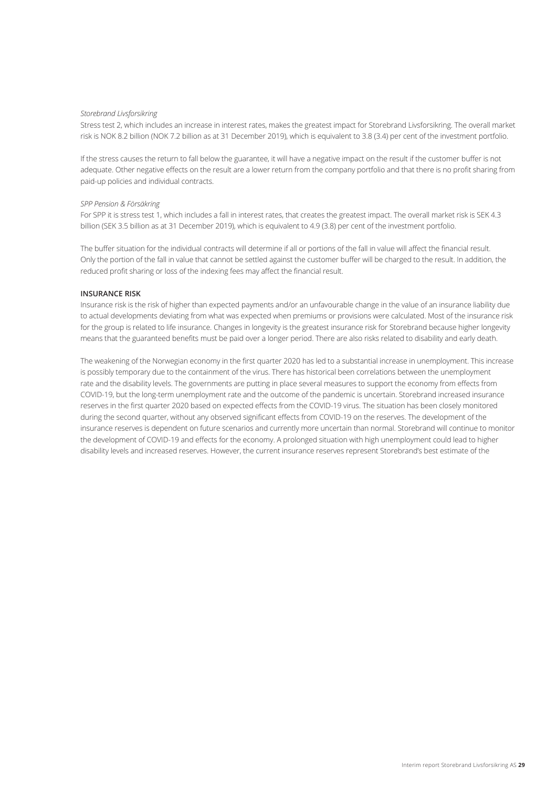#### *Storebrand Livsforsikring*

Stress test 2, which includes an increase in interest rates, makes the greatest impact for Storebrand Livsforsikring. The overall market risk is NOK 8.2 billion (NOK 7.2 billion as at 31 December 2019), which is equivalent to 3.8 (3.4) per cent of the investment portfolio.

If the stress causes the return to fall below the guarantee, it will have a negative impact on the result if the customer buffer is not adequate. Other negative effects on the result are a lower return from the company portfolio and that there is no profit sharing from paid-up policies and individual contracts.

### *SPP Pension & Försäkring*

For SPP it is stress test 1, which includes a fall in interest rates, that creates the greatest impact. The overall market risk is SEK 4.3 billion (SEK 3.5 billion as at 31 December 2019), which is equivalent to 4.9 (3.8) per cent of the investment portfolio.

The buffer situation for the individual contracts will determine if all or portions of the fall in value will affect the financial result. Only the portion of the fall in value that cannot be settled against the customer buffer will be charged to the result. In addition, the reduced profit sharing or loss of the indexing fees may affect the financial result.

### **INSURANCE RISK**

Insurance risk is the risk of higher than expected payments and/or an unfavourable change in the value of an insurance liability due to actual developments deviating from what was expected when premiums or provisions were calculated. Most of the insurance risk for the group is related to life insurance. Changes in longevity is the greatest insurance risk for Storebrand because higher longevity means that the guaranteed benefits must be paid over a longer period. There are also risks related to disability and early death.

The weakening of the Norwegian economy in the first quarter 2020 has led to a substantial increase in unemployment. This increase is possibly temporary due to the containment of the virus. There has historical been correlations between the unemployment rate and the disability levels. The governments are putting in place several measures to support the economy from effects from COVID-19, but the long-term unemployment rate and the outcome of the pandemic is uncertain. Storebrand increased insurance reserves in the first quarter 2020 based on expected effects from the COVID-19 virus. The situation has been closely monitored during the second quarter, without any observed significant effects from COVID-19 on the reserves. The development of the insurance reserves is dependent on future scenarios and currently more uncertain than normal. Storebrand will continue to monitor the development of COVID-19 and effects for the economy. A prolonged situation with high unemployment could lead to higher disability levels and increased reserves. However, the current insurance reserves represent Storebrand's best estimate of the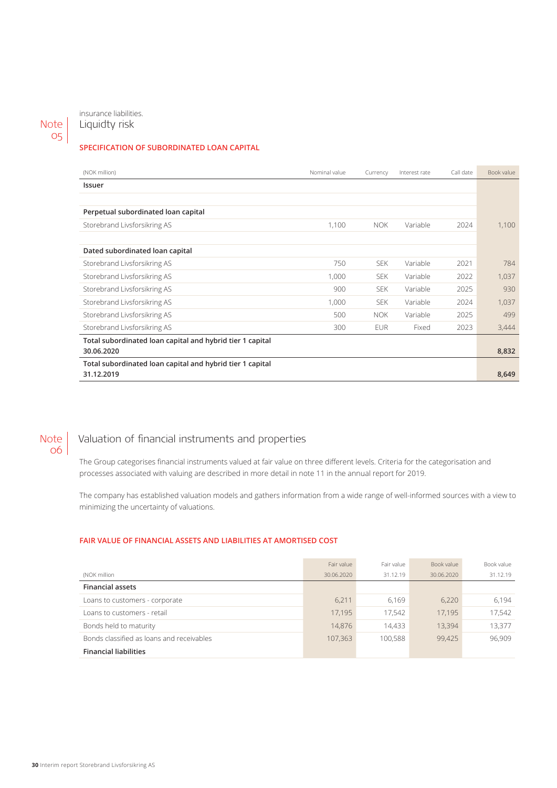Note 05

insurance liabilities. Liquidty risk

## **SPECIFICATION OF SUBORDINATED LOAN CAPITAL**

| (NOK million)                                             | Nominal value | Currency   | Interest rate | Call date | Book value |
|-----------------------------------------------------------|---------------|------------|---------------|-----------|------------|
| Issuer                                                    |               |            |               |           |            |
|                                                           |               |            |               |           |            |
| Perpetual subordinated loan capital                       |               |            |               |           |            |
| Storebrand Livsforsikring AS                              | 1,100         | <b>NOK</b> | Variable      | 2024      | 1,100      |
|                                                           |               |            |               |           |            |
| Dated subordinated loan capital                           |               |            |               |           |            |
| Storebrand Livsforsikring AS                              | 750           | <b>SEK</b> | Variable      | 2021      | 784        |
| Storebrand Livsforsikring AS                              | 1,000         | <b>SEK</b> | Variable      | 2022      | 1,037      |
| Storebrand Livsforsikring AS                              | 900           | SEK.       | Variable      | 2025      | 930        |
| Storebrand Livsforsikring AS                              | 1,000         | <b>SEK</b> | Variable      | 2024      | 1,037      |
| Storebrand Livsforsikring AS                              | 500           | <b>NOK</b> | Variable      | 2025      | 499        |
| Storebrand Livsforsikring AS                              | 300           | <b>EUR</b> | Fixed         | 2023      | 3,444      |
| Total subordinated loan capital and hybrid tier 1 capital |               |            |               |           |            |
| 30.06.2020                                                |               |            |               |           | 8,832      |
| Total subordinated loan capital and hybrid tier 1 capital |               |            |               |           |            |
| 31.12.2019                                                |               |            |               |           | 8,649      |

## Note 06

# Valuation of financial instruments and properties

The Group categorises financial instruments valued at fair value on three different levels. Criteria for the categorisation and processes associated with valuing are described in more detail in note 11 in the annual report for 2019.

The company has established valuation models and gathers information from a wide range of well-informed sources with a view to minimizing the uncertainty of valuations.

## **FAIR VALUE OF FINANCIAL ASSETS AND LIABILITIES AT AMORTISED COST**

|                                           | Fair value | Fair value | Book value | Book value |
|-------------------------------------------|------------|------------|------------|------------|
| (NOK million                              | 30.06.2020 | 31.12.19   | 30.06.2020 | 31.12.19   |
| <b>Financial assets</b>                   |            |            |            |            |
| Loans to customers - corporate            | 6.211      | 6.169      | 6,220      | 6.194      |
| Loans to customers - retail               | 17.195     | 17.542     | 17.195     | 17,542     |
| Bonds held to maturity                    | 14.876     | 14.433     | 13,394     | 13,377     |
| Bonds classified as loans and receivables | 107.363    | 100.588    | 99.425     | 96,909     |
| <b>Financial liabilities</b>              |            |            |            |            |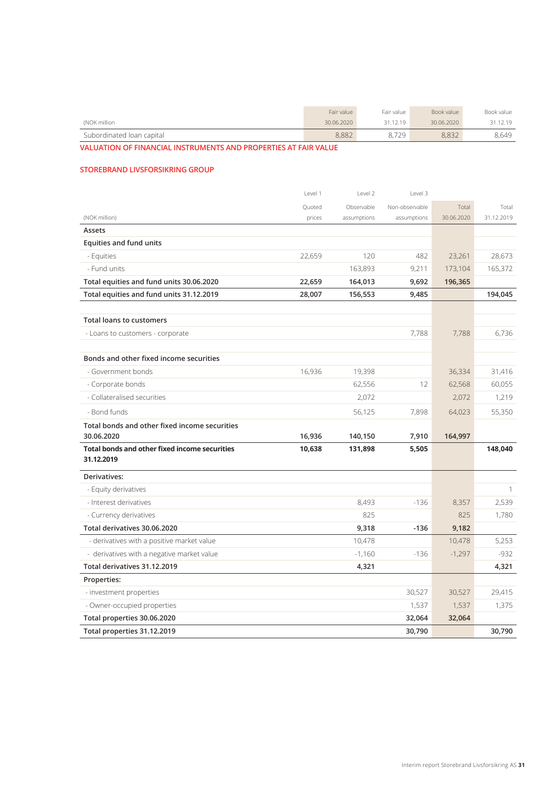|                           | Fair value | Fair value | Book value | Book value |
|---------------------------|------------|------------|------------|------------|
| (NOK million              | 30.06.2020 | 31.12.19   | 30.06.2020 | 31.12.19   |
| Subordinated loan capital | 8.882      | 8.729      | 8.832      | 8.649      |

**VALUATION OF FINANCIAL INSTRUMENTS AND PROPERTIES AT FAIR VALUE**

## **STOREBRAND LIVSFORSIKRING GROUP**

|                                                                    | Level 1 | Level 2     | Level 3        |            |              |
|--------------------------------------------------------------------|---------|-------------|----------------|------------|--------------|
|                                                                    | Quoted  | Observable  | Non-observable | Total      | Total        |
| (NOK million)                                                      | prices  | assumptions | assumptions    | 30.06.2020 | 31.12.2019   |
| Assets                                                             |         |             |                |            |              |
| <b>Equities and fund units</b>                                     |         |             |                |            |              |
| - Equities                                                         | 22,659  | 120         | 482            | 23,261     | 28,673       |
| - Fund units                                                       |         | 163,893     | 9,211          | 173,104    | 165,372      |
| Total equities and fund units 30.06.2020                           | 22,659  | 164,013     | 9,692          | 196,365    |              |
| Total equities and fund units 31.12.2019                           | 28,007  | 156,553     | 9,485          |            | 194,045      |
|                                                                    |         |             |                |            |              |
| <b>Total loans to customers</b>                                    |         |             |                |            |              |
| - Loans to customers - corporate                                   |         |             | 7,788          | 7,788      | 6,736        |
|                                                                    |         |             |                |            |              |
| Bonds and other fixed income securities                            |         |             |                |            |              |
| - Government bonds                                                 | 16,936  | 19,398      |                | 36,334     | 31,416       |
| - Corporate bonds                                                  |         | 62,556      | 12             | 62,568     | 60,055       |
| - Collateralised securities                                        |         | 2,072       |                | 2,072      | 1,219        |
| - Bond funds                                                       |         | 56,125      | 7,898          | 64,023     | 55,350       |
| Total bonds and other fixed income securities                      |         |             |                |            |              |
| 30.06.2020                                                         | 16,936  | 140,150     | 7,910          | 164,997    |              |
| <b>Total bonds and other fixed income securities</b><br>31.12.2019 | 10,638  | 131,898     | 5,505          |            | 148,040      |
| Derivatives:                                                       |         |             |                |            |              |
| - Equity derivatives                                               |         |             |                |            | $\mathbf{1}$ |
| - Interest derivatives                                             |         | 8,493       | $-136$         | 8,357      | 2,539        |
| - Currency derivatives                                             |         | 825         |                | 825        | 1,780        |
| Total derivatives 30.06.2020                                       |         | 9,318       | $-136$         | 9,182      |              |
| - derivatives with a positive market value                         |         | 10,478      |                | 10,478     | 5,253        |
| - derivatives with a negative market value                         |         | $-1,160$    | $-136$         | $-1,297$   | $-932$       |
| Total derivatives 31.12.2019                                       |         | 4,321       |                |            | 4,321        |
| Properties:                                                        |         |             |                |            |              |
| - investment properties                                            |         |             | 30,527         | 30,527     | 29,415       |
| - Owner-occupied properties                                        |         |             | 1,537          | 1,537      | 1,375        |
| Total properties 30.06.2020                                        |         |             | 32,064         | 32,064     |              |
| Total properties 31.12.2019                                        |         |             | 30,790         |            | 30,790       |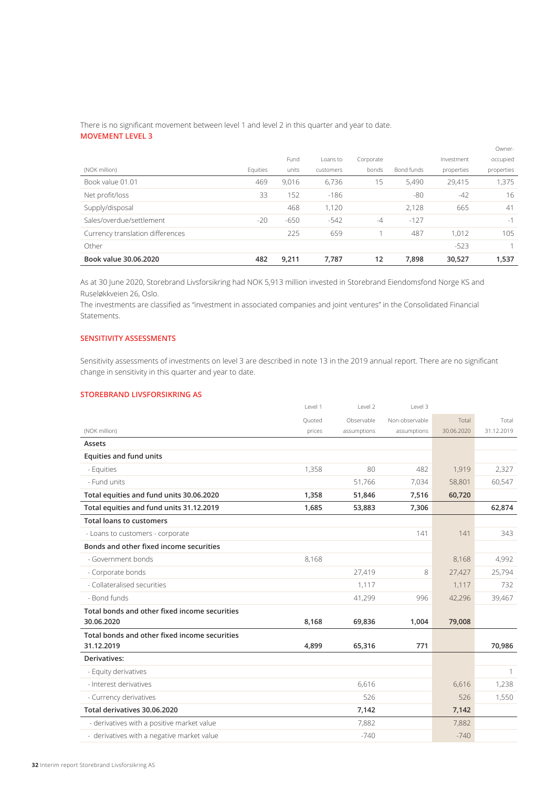# There is no significant movement between level 1 and level 2 in this quarter and year to date.

# **MOVEMENT LEVEL 3**

|                                  |          |        |           |           |            |            | Owner-     |
|----------------------------------|----------|--------|-----------|-----------|------------|------------|------------|
|                                  |          | Fund   | Loans to  | Corporate |            | Investment | occupied   |
| (NOK million)                    | Equities | units  | customers | bonds     | Bond funds | properties | properties |
| Book value 01.01                 | 469      | 9,016  | 6,736     | 15        | 5,490      | 29,415     | 1,375      |
| Net profit/loss                  | 33       | 152    | $-186$    |           | -80        | $-42$      | 16         |
| Supply/disposal                  |          | 468    | 1,120     |           | 2,128      | 665        | 41         |
| Sales/overdue/settlement         | $-20$    | $-650$ | $-542$    | $-4$      | $-127$     |            | $-1$       |
| Currency translation differences |          | 225    | 659       |           | 487        | 1,012      | 105        |
| Other                            |          |        |           |           |            | $-523$     |            |
| Book value 30.06.2020            | 482      | 9,211  | 7,787     | 12        | 7,898      | 30,527     | 1,537      |

As at 30 June 2020, Storebrand Livsforsikring had NOK 5,913 million invested in Storebrand Eiendomsfond Norge KS and Ruseløkkveien 26, Oslo.

The investments are classified as "investment in associated companies and joint ventures" in the Consolidated Financial Statements.

# **SENSITIVITY ASSESSMENTS**

Sensitivity assessments of investments on level 3 are described in note 13 in the 2019 annual report. There are no significant change in sensitivity in this quarter and year to date.

## **STOREBRAND LIVSFORSIKRING AS**

|                                               | Level 1 | Level 2     | Level 3        |            |            |
|-----------------------------------------------|---------|-------------|----------------|------------|------------|
|                                               | Ouoted  | Observable  | Non-observable | Total      | Total      |
| (NOK million)                                 | prices  | assumptions | assumptions    | 30.06.2020 | 31.12.2019 |
| Assets                                        |         |             |                |            |            |
| Equities and fund units                       |         |             |                |            |            |
| - Equities                                    | 1,358   | 80          | 482            | 1,919      | 2,327      |
| - Fund units                                  |         | 51,766      | 7,034          | 58,801     | 60,547     |
| Total equities and fund units 30.06.2020      | 1,358   | 51,846      | 7,516          | 60,720     |            |
| Total equities and fund units 31.12.2019      | 1,685   | 53,883      | 7,306          |            | 62,874     |
| <b>Total loans to customers</b>               |         |             |                |            |            |
| - Loans to customers - corporate              |         |             | 141            | 141        | 343        |
| Bonds and other fixed income securities       |         |             |                |            |            |
| - Government bonds                            | 8,168   |             |                | 8,168      | 4,992      |
| - Corporate bonds                             |         | 27,419      | 8              | 27,427     | 25,794     |
| - Collateralised securities                   |         | 1,117       |                | 1,117      | 732        |
| - Bond funds                                  |         | 41,299      | 996            | 42,296     | 39,467     |
| Total bonds and other fixed income securities |         |             |                |            |            |
| 30.06.2020                                    | 8,168   | 69,836      | 1,004          | 79,008     |            |
| Total bonds and other fixed income securities |         |             |                |            |            |
| 31.12.2019                                    | 4,899   | 65,316      | 771            |            | 70,986     |
| Derivatives:                                  |         |             |                |            |            |
| - Equity derivatives                          |         |             |                |            | 1          |
| - Interest derivatives                        |         | 6,616       |                | 6,616      | 1,238      |
| - Currency derivatives                        |         | 526         |                | 526        | 1,550      |
| Total derivatives 30.06.2020                  |         | 7,142       |                | 7,142      |            |
| - derivatives with a positive market value    |         | 7,882       |                | 7,882      |            |
| - derivatives with a negative market value    |         | $-740$      |                | $-740$     |            |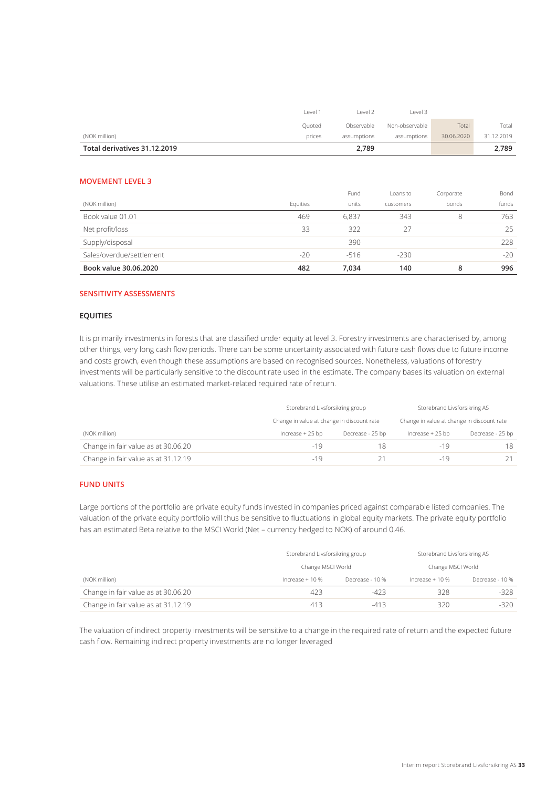| Total derivatives 31.12.2019 |                    | 2,789       |                |            | 2,789      |
|------------------------------|--------------------|-------------|----------------|------------|------------|
| (NOK million)                | prices             | assumptions | assumptions    | 30.06.2020 | 31.12.2019 |
|                              | Ouoted             | Observable  | Non-observable | Total      | Total      |
|                              | Level <sup>*</sup> | Level 2     | Level 3        |            |            |

### **MOVEMENT LEVEL 3**

|                          |          | Fund   | Loans to  | Corporate | Bond  |
|--------------------------|----------|--------|-----------|-----------|-------|
| (NOK million)            | Equities | units  | customers | bonds     | funds |
| Book value 01.01         | 469      | 6.837  | 343       | 8         | 763   |
| Net profit/loss          | 33       | 322    | 27        |           | 25    |
| Supply/disposal          |          | 390    |           |           | 228   |
| Sales/overdue/settlement | $-20$    | $-516$ | $-230$    |           | $-20$ |
| Book value 30.06.2020    | 482      | 7,034  | 140       | 8         | 996   |

## **SENSITIVITY ASSESSMENTS**

## **EQUITIES**

It is primarily investments in forests that are classified under equity at level 3. Forestry investments are characterised by, among other things, very long cash flow periods. There can be some uncertainty associated with future cash flows due to future income and costs growth, even though these assumptions are based on recognised sources. Nonetheless, valuations of forestry investments will be particularly sensitive to the discount rate used in the estimate. The company bases its valuation on external valuations. These utilise an estimated market-related required rate of return.

|                                     | Storebrand Livsforsikring group            |                  | Storebrand Livsforsikring AS               |                  |  |
|-------------------------------------|--------------------------------------------|------------------|--------------------------------------------|------------------|--|
|                                     | Change in value at change in discount rate |                  | Change in value at change in discount rate |                  |  |
| (NOK million)                       | Increase $+25$ bp                          | Decrease - 25 bp | Increase + 25 bp                           | Decrease - 25 bp |  |
| Change in fair value as at 30.06.20 | -19                                        | 18               | -19                                        | 18               |  |
| Change in fair value as at 31.12.19 | $-19$                                      |                  | $-19$                                      |                  |  |

## **FUND UNITS**

Large portions of the portfolio are private equity funds invested in companies priced against comparable listed companies. The valuation of the private equity portfolio will thus be sensitive to fluctuations in global equity markets. The private equity portfolio has an estimated Beta relative to the MSCI World (Net – currency hedged to NOK) of around 0.46.

|                                     | Storebrand Livsforsikring group |                 | Storebrand Livsforsikring AS |                 |  |
|-------------------------------------|---------------------------------|-----------------|------------------------------|-----------------|--|
|                                     | Change MSCI World               |                 | Change MSCI World            |                 |  |
| (NOK million)                       | Increase $+10%$                 | Decrease - 10 % | Increase $+10%$              | Decrease - 10 % |  |
| Change in fair value as at 30.06.20 | 423                             | $-423$          | 328                          | -328            |  |
| Change in fair value as at 31.12.19 | 413                             | $-413$          | 320                          | $-320$          |  |

The valuation of indirect property investments will be sensitive to a change in the required rate of return and the expected future cash flow. Remaining indirect property investments are no longer leveraged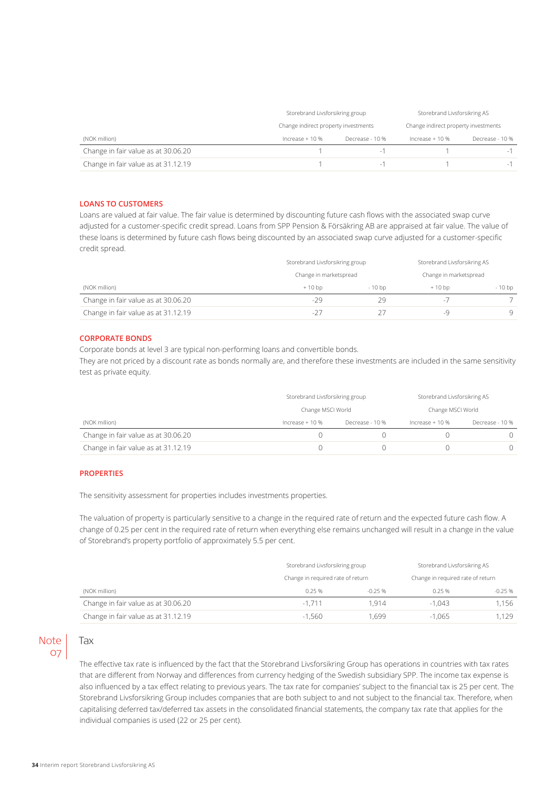|                                     | Storebrand Livsforsikring group      |                 | Storebrand Livsforsikring AS         |                 |  |
|-------------------------------------|--------------------------------------|-----------------|--------------------------------------|-----------------|--|
|                                     | Change indirect property investments |                 | Change indirect property investments |                 |  |
| (NOK million)                       | Increase $+10%$                      | Decrease - 10 % | Increase $+10%$                      | Decrease - 10 % |  |
| Change in fair value as at 30.06.20 |                                      | - 1             |                                      |                 |  |
| Change in fair value as at 31.12.19 |                                      | $-1$            |                                      | $-1$            |  |

### **LOANS TO CUSTOMERS**

Loans are valued at fair value. The fair value is determined by discounting future cash flows with the associated swap curve adjusted for a customer-specific credit spread. Loans from SPP Pension & Försäkring AB are appraised at fair value. The value of these loans is determined by future cash flows being discounted by an associated swap curve adjusted for a customer-specific credit spread.

|                                     | Storebrand Livsforsikring group |                        | Storebrand Livsforsikring AS |         |  |
|-------------------------------------|---------------------------------|------------------------|------------------------------|---------|--|
| (NOK million)                       | Change in marketspread          | Change in marketspread |                              |         |  |
|                                     | $+10$ bp                        | $-10$ bp               | $+10$ bp                     | $-10bp$ |  |
| Change in fair value as at 30.06.20 | $-29$                           | 29                     | $\sim$                       |         |  |
| Change in fair value as at 31.12.19 | $-27$                           |                        |                              | q       |  |

### **CORPORATE BONDS**

Corporate bonds at level 3 are typical non-performing loans and convertible bonds. They are not priced by a discount rate as bonds normally are, and therefore these investments are included in the same sensitivity test as private equity.

|                                     | Storebrand Livsforsikring group |                 | Storebrand Livsforsikring AS |                   |  |
|-------------------------------------|---------------------------------|-----------------|------------------------------|-------------------|--|
|                                     | Change MSCI World               |                 |                              | Change MSCI World |  |
| (NOK million)                       | Increase $+10%$                 | Decrease - 10 % | Increase $+10%$              | Decrease - 10 %   |  |
| Change in fair value as at 30.06.20 |                                 |                 |                              |                   |  |
| Change in fair value as at 31.12.19 |                                 |                 |                              |                   |  |

### **PROPERTIES**

The sensitivity assessment for properties includes investments properties.

The valuation of property is particularly sensitive to a change in the required rate of return and the expected future cash flow. A change of 0.25 per cent in the required rate of return when everything else remains unchanged will result in a change in the value of Storebrand's property portfolio of approximately 5.5 per cent.

|                                     | Storebrand Livsforsikring group   |                                   | Storebrand Livsforsikring AS |          |  |
|-------------------------------------|-----------------------------------|-----------------------------------|------------------------------|----------|--|
|                                     | Change in required rate of return | Change in required rate of return |                              |          |  |
| (NOK million)                       | 0.25%                             | $-0.25%$                          | 0.25%                        | $-0.25%$ |  |
| Change in fair value as at 30.06.20 | $-1.711$                          | 1.914                             | $-1.043$                     | 1.156    |  |
| Change in fair value as at 31.12.19 | -1.560                            | .699                              | $-1.065$                     | .129     |  |

# **Note** 07

The effective tax rate is influenced by the fact that the Storebrand Livsforsikring Group has operations in countries with tax rates that are different from Norway and differences from currency hedging of the Swedish subsidiary SPP. The income tax expense is also influenced by a tax effect relating to previous years. The tax rate for companies' subject to the financial tax is 25 per cent. The Storebrand Livsforsikring Group includes companies that are both subject to and not subject to the financial tax. Therefore, when capitalising deferred tax/deferred tax assets in the consolidated financial statements, the company tax rate that applies for the individual companies is used (22 or 25 per cent).

Tax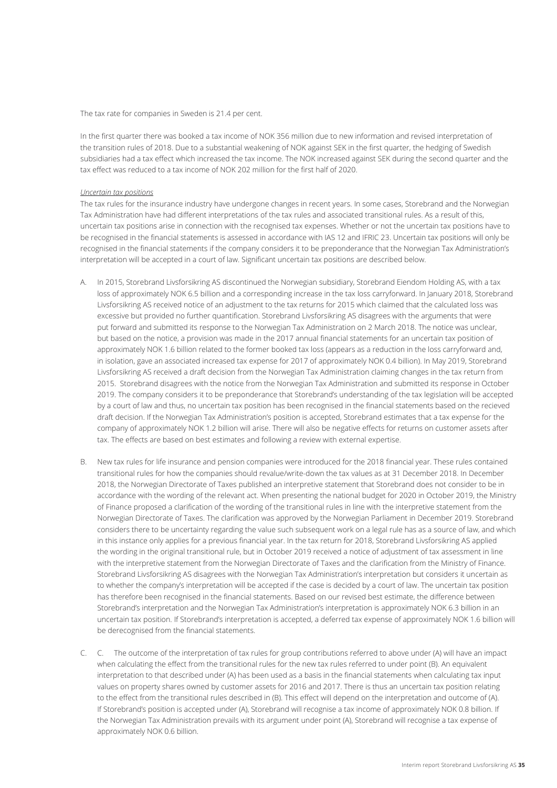The tax rate for companies in Sweden is 21.4 per cent.

In the first quarter there was booked a tax income of NOK 356 million due to new information and revised interpretation of the transition rules of 2018. Due to a substantial weakening of NOK against SEK in the first quarter, the hedging of Swedish subsidiaries had a tax effect which increased the tax income. The NOK increased against SEK during the second quarter and the tax effect was reduced to a tax income of NOK 202 million for the first half of 2020.

### *Uncertain tax positions*

The tax rules for the insurance industry have undergone changes in recent years. In some cases, Storebrand and the Norwegian Tax Administration have had different interpretations of the tax rules and associated transitional rules. As a result of this, uncertain tax positions arise in connection with the recognised tax expenses. Whether or not the uncertain tax positions have to be recognised in the financial statements is assessed in accordance with IAS 12 and IFRIC 23. Uncertain tax positions will only be recognised in the financial statements if the company considers it to be preponderance that the Norwegian Tax Administration's interpretation will be accepted in a court of law. Significant uncertain tax positions are described below.

- A. In 2015, Storebrand Livsforsikring AS discontinued the Norwegian subsidiary, Storebrand Eiendom Holding AS, with a tax loss of approximately NOK 6.5 billion and a corresponding increase in the tax loss carryforward. In January 2018, Storebrand Livsforsikring AS received notice of an adjustment to the tax returns for 2015 which claimed that the calculated loss was excessive but provided no further quantification. Storebrand Livsforsikring AS disagrees with the arguments that were put forward and submitted its response to the Norwegian Tax Administration on 2 March 2018. The notice was unclear, but based on the notice, a provision was made in the 2017 annual financial statements for an uncertain tax position of approximately NOK 1.6 billion related to the former booked tax loss (appears as a reduction in the loss carryforward and, in isolation, gave an associated increased tax expense for 2017 of approximately NOK 0.4 billion). In May 2019, Storebrand Livsforsikring AS received a draft decision from the Norwegian Tax Administration claiming changes in the tax return from 2015. Storebrand disagrees with the notice from the Norwegian Tax Administration and submitted its response in October 2019. The company considers it to be preponderance that Storebrand's understanding of the tax legislation will be accepted by a court of law and thus, no uncertain tax position has been recognised in the financial statements based on the recieved draft decision. If the Norwegian Tax Administration's position is accepted, Storebrand estimates that a tax expense for the company of approximately NOK 1.2 billion will arise. There will also be negative effects for returns on customer assets after tax. The effects are based on best estimates and following a review with external expertise.
- B. New tax rules for life insurance and pension companies were introduced for the 2018 financial year. These rules contained transitional rules for how the companies should revalue/write-down the tax values as at 31 December 2018. In December 2018, the Norwegian Directorate of Taxes published an interpretive statement that Storebrand does not consider to be in accordance with the wording of the relevant act. When presenting the national budget for 2020 in October 2019, the Ministry of Finance proposed a clarification of the wording of the transitional rules in line with the interpretive statement from the Norwegian Directorate of Taxes. The clarification was approved by the Norwegian Parliament in December 2019. Storebrand considers there to be uncertainty regarding the value such subsequent work on a legal rule has as a source of law, and which in this instance only applies for a previous financial year. In the tax return for 2018, Storebrand Livsforsikring AS applied the wording in the original transitional rule, but in October 2019 received a notice of adjustment of tax assessment in line with the interpretive statement from the Norwegian Directorate of Taxes and the clarification from the Ministry of Finance. Storebrand Livsforsikring AS disagrees with the Norwegian Tax Administration's interpretation but considers it uncertain as to whether the company's interpretation will be accepted if the case is decided by a court of law. The uncertain tax position has therefore been recognised in the financial statements. Based on our revised best estimate, the difference between Storebrand's interpretation and the Norwegian Tax Administration's interpretation is approximately NOK 6.3 billion in an uncertain tax position. If Storebrand's interpretation is accepted, a deferred tax expense of approximately NOK 1.6 billion will be derecognised from the financial statements.
- C. C. The outcome of the interpretation of tax rules for group contributions referred to above under (A) will have an impact when calculating the effect from the transitional rules for the new tax rules referred to under point (B). An equivalent interpretation to that described under (A) has been used as a basis in the financial statements when calculating tax input values on property shares owned by customer assets for 2016 and 2017. There is thus an uncertain tax position relating to the effect from the transitional rules described in (B). This effect will depend on the interpretation and outcome of (A). If Storebrand's position is accepted under (A), Storebrand will recognise a tax income of approximately NOK 0.8 billion. If the Norwegian Tax Administration prevails with its argument under point (A), Storebrand will recognise a tax expense of approximately NOK 0.6 billion.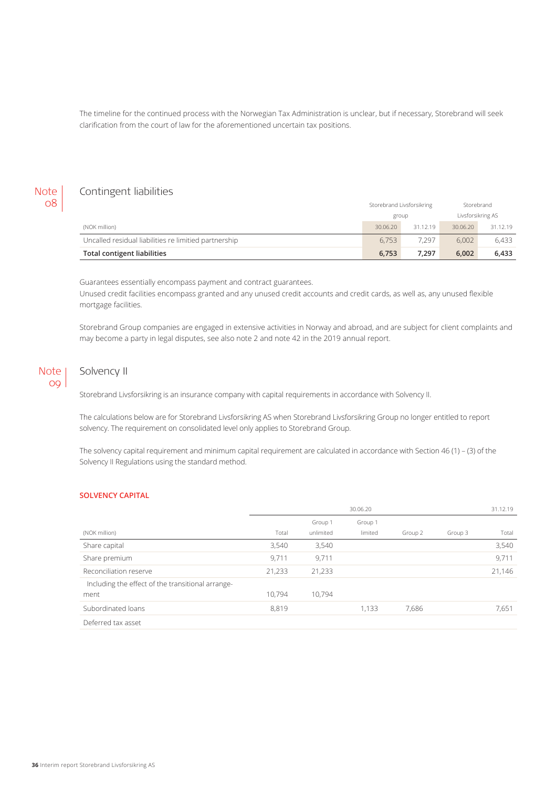The timeline for the continued process with the Norwegian Tax Administration is unclear, but if necessary, Storebrand will seek clarification from the court of law for the aforementioned uncertain tax positions.

## **Note** 08

# Contingent liabilities

|                                                       | Storebrand Livsforsikring |          | Storebrand        |          |
|-------------------------------------------------------|---------------------------|----------|-------------------|----------|
|                                                       | group                     |          | Livsforsikring AS |          |
| (NOK million)                                         | 30.06.20                  | 31.12.19 | 30.06.20          | 31.12.19 |
| Uncalled residual liabilities re limitied partnership | 6.753                     | 7.297    | 6.002             | 6.433    |
| Total contigent liabilities                           | 6.753                     | 7.297    | 6.002             | 6.433    |

Guarantees essentially encompass payment and contract guarantees.

Unused credit facilities encompass granted and any unused credit accounts and credit cards, as well as, any unused flexible mortgage facilities.

Storebrand Group companies are engaged in extensive activities in Norway and abroad, and are subject for client complaints and may become a party in legal disputes, see also note 2 and note 42 in the 2019 annual report.

## Note 09

# Solvency II

Storebrand Livsforsikring is an insurance company with capital requirements in accordance with Solvency II.

The calculations below are for Storebrand Livsforsikring AS when Storebrand Livsforsikring Group no longer entitled to report solvency. The requirement on consolidated level only applies to Storebrand Group.

The solvency capital requirement and minimum capital requirement are calculated in accordance with Section 46 (1) – (3) of the Solvency II Regulations using the standard method.

## **SOLVENCY CAPITAL**

|                                                   | 30.06.20 |           |         |         |         | 31.12.19 |
|---------------------------------------------------|----------|-----------|---------|---------|---------|----------|
|                                                   |          | Group 1   | Group 1 |         |         |          |
| (NOK million)                                     | Total    | unlimited | limited | Group 2 | Group 3 | Total    |
| Share capital                                     | 3,540    | 3,540     |         |         |         | 3,540    |
| Share premium                                     | 9,711    | 9,711     |         |         |         | 9,711    |
| Reconciliation reserve                            | 21,233   | 21,233    |         |         |         | 21,146   |
| Including the effect of the transitional arrange- |          |           |         |         |         |          |
| ment                                              | 10,794   | 10,794    |         |         |         |          |
| Subordinated loans                                | 8,819    |           | 1,133   | 7.686   |         | 7,651    |
| Deferred tax asset                                |          |           |         |         |         |          |
|                                                   |          |           |         |         |         |          |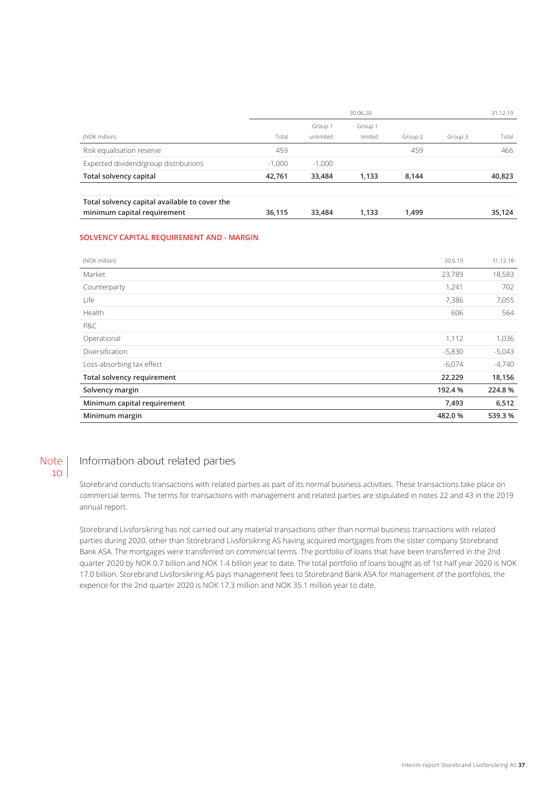|                                                                              | 30.06.20 |           |         |         |         | 31.12.19 |
|------------------------------------------------------------------------------|----------|-----------|---------|---------|---------|----------|
|                                                                              |          | Group 1   | Group 1 |         |         |          |
| (NOK million)                                                                | Total    | unlimited | limited | Group 2 | Group 3 | Total    |
| Risk equalisation reserve                                                    | 459      |           |         | 459     |         | 466      |
| Expected dividend/group distributions                                        | $-1.000$ | $-1.000$  |         |         |         |          |
| Total solvency capital                                                       | 42,761   | 33,484    | 1.133   | 8.144   |         | 40,823   |
| Total solvency capital available to cover the<br>minimum capital requirement | 36.115   | 33,484    | 1.133   | 1,499   |         | 35,124   |

## **SOLVENCY CAPITAL REQUIREMENT AND - MARGIN**

| (NOK million)               | 30.6.19  | 31.12.18 |
|-----------------------------|----------|----------|
| Market                      | 23,789   | 18,583   |
| Counterparty                | 1,241    | 702      |
| Life                        | 7,386    | 7,055    |
| Health                      | 606      | 564      |
| P&C                         |          |          |
| Operational                 | 1,112    | 1,036    |
| Diversification             | $-5,830$ | $-5,043$ |
| Loss-absorbing tax effect   | $-6,074$ | $-4,740$ |
| Total solvency requirement  | 22,229   | 18,156   |
| Solvency margin             | 192.4 %  | 224.8%   |
| Minimum capital requirement | 7,493    | 6,512    |
| Minimum margin              | 482.0%   | 539.3 %  |

#### Information about related parties Note  $10<sup>1</sup>$

Storebrand conducts transactions with related parties as part of its normal business activities. These transactions take place on commercial terms. The terms for transactions with management and related parties are stipulated in notes 22 and 43 in the 2019 annual report.

Storebrand Livsforsikring has not carried out any material transactions other than normal business transactions with related parties during 2020, other than Storebrand Livsforsikring AS having acquired mortgages from the sister company Storebrand Bank ASA. The mortgages were transferred on commercial terms. The portfolio of loans that have been transferred in the 2nd quarter 2020 by NOK 0.7 billion and NOK 1.4 billion year to date. The total portfolio of loans bought as of 1st half year 2020 is NOK 17.0 billion. Storebrand Livsforsikring AS pays management fees to Storebrand Bank ASA for management of the portfolios, the expence for the 2nd quarter 2020 is NOK 17.3 million and NOK 35.1 million year to date.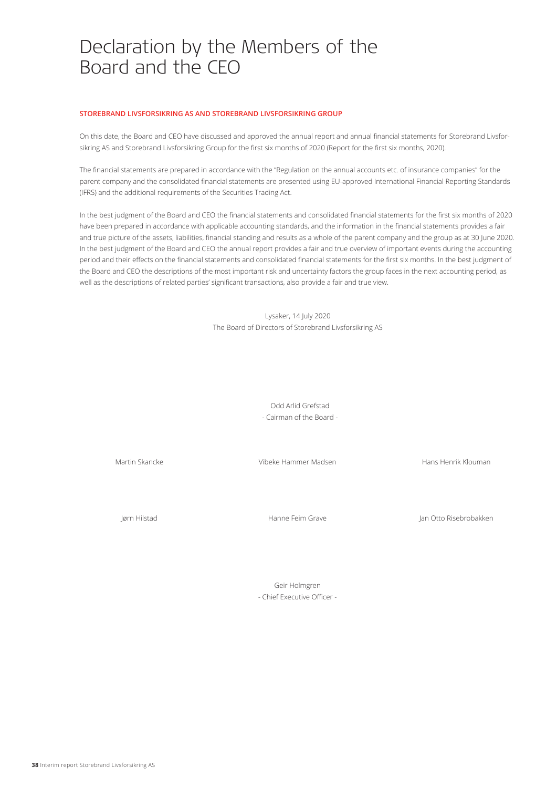# Declaration by the Members of the Board and the CEO

#### **STOREBRAND LIVSFORSIKRING AS AND STOREBRAND LIVSFORSIKRING GROUP**

On this date, the Board and CEO have discussed and approved the annual report and annual financial statements for Storebrand Livsforsikring AS and Storebrand Livsforsikring Group for the first six months of 2020 (Report for the first six months, 2020).

The financial statements are prepared in accordance with the "Regulation on the annual accounts etc. of insurance companies" for the parent company and the consolidated financial statements are presented using EU-approved International Financial Reporting Standards (IFRS) and the additional requirements of the Securities Trading Act.

In the best judgment of the Board and CEO the financial statements and consolidated financial statements for the first six months of 2020 have been prepared in accordance with applicable accounting standards, and the information in the financial statements provides a fair and true picture of the assets, liabilities, financial standing and results as a whole of the parent company and the group as at 30 June 2020. In the best judgment of the Board and CEO the annual report provides a fair and true overview of important events during the accounting period and their effects on the financial statements and consolidated financial statements for the first six months. In the best judgment of the Board and CEO the descriptions of the most important risk and uncertainty factors the group faces in the next accounting period, as well as the descriptions of related parties' significant transactions, also provide a fair and true view.

> Lysaker, 14 July 2020 The Board of Directors of Storebrand Livsforsikring AS

> > Odd Arlid Grefstad - Cairman of the Board -

Martin Skancke

Vibeke Hammer Madsen

Hans Henrik Klouman

Jørn Hilstad

Hanne Feim Grave

Jan Otto Risebrobakken

Geir Holmgren - Chief Executive Officer -